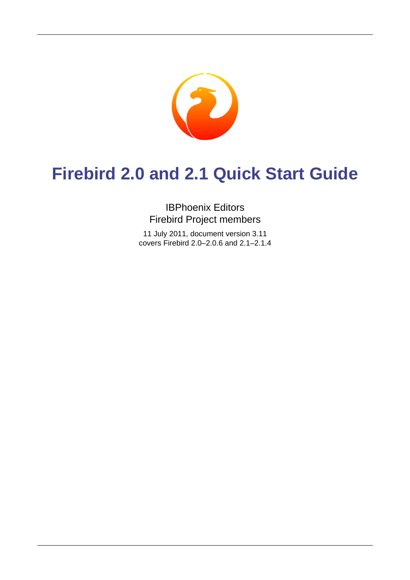

# **Firebird 2.0 and 2.1 Quick Start Guide**

## IBPhoenix Editors Firebird Project members

11 July 2011, document version 3.11 covers Firebird 2.0–2.0.6 and 2.1–2.1.4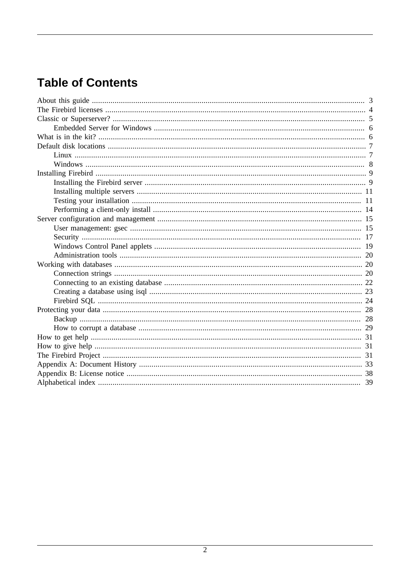# **Table of Contents**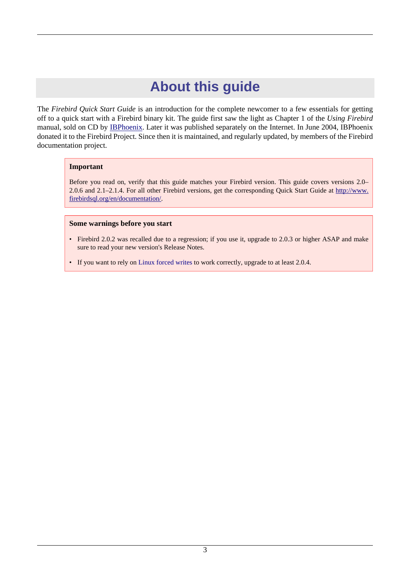# **About this guide**

<span id="page-2-0"></span>The *Firebird Quick Start Guide* is an introduction for the complete newcomer to a few essentials for getting off to a quick start with a Firebird binary kit. The guide first saw the light as Chapter 1 of the *Using Firebird* manual, sold on CD by [IBPhoenix.](http://www.ibphoenix.com) Later it was published separately on the Internet. In June 2004, IBPhoenix donated it to the Firebird Project. Since then it is maintained, and regularly updated, by members of the Firebird documentation project.

#### **Important**

Before you read on, verify that this guide matches your Firebird version. This guide covers versions 2.0– 2.0.6 and 2.1–2.1.4. For all other Firebird versions, get the corresponding Quick Start Guide at [http://www.](http://www.firebirdsql.org/en/documentation/) [firebirdsql.org/en/documentation/.](http://www.firebirdsql.org/en/documentation/)

#### **Some warnings before you start**

- Firebird 2.0.2 was recalled due to a regression; if you use it, upgrade to 2.0.3 or higher ASAP and make sure to read your new version's Release Notes.
- If you want to rely on [Linux forced writes](#page-29-0) to work correctly, upgrade to at least 2.0.4.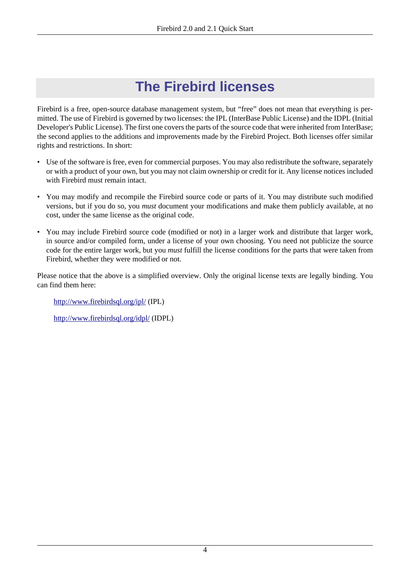# <span id="page-3-1"></span>**The Firebird licenses**

<span id="page-3-0"></span>Firebird is a free, open-source database management system, but "free" does not mean that everything is permitted. The use of Firebird is governed by two licenses: the IPL (InterBase Public License) and the IDPL (Initial Developer's Public License). The first one covers the parts of the source code that were inherited from InterBase; the second applies to the additions and improvements made by the Firebird Project. Both licenses offer similar rights and restrictions. In short:

- Use of the software is free, even for commercial purposes. You may also redistribute the software, separately or with a product of your own, but you may not claim ownership or credit for it. Any license notices included with Firebird must remain intact
- You may modify and recompile the Firebird source code or parts of it. You may distribute such modified versions, but if you do so, you *must* document your modifications and make them publicly available, at no cost, under the same license as the original code.
- You may include Firebird source code (modified or not) in a larger work and distribute that larger work, in source and/or compiled form, under a license of your own choosing. You need not publicize the source code for the entire larger work, but you *must* fulfill the license conditions for the parts that were taken from Firebird, whether they were modified or not.

Please notice that the above is a simplified overview. Only the original license texts are legally binding. You can find them here:

<http://www.firebirdsql.org/ipl/>(IPL)

<http://www.firebirdsql.org/idpl/> (IDPL)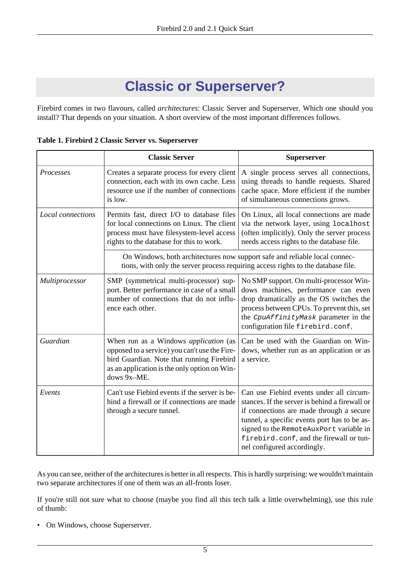# <span id="page-4-1"></span>**Classic or Superserver?**

<span id="page-4-0"></span>Firebird comes in two flavours, called *architectures*: Classic Server and Superserver. Which one should you install? That depends on your situation. A short overview of the most important differences follows.

| Table 1. Firebird 2 Classic Server vs. Superserver |  |
|----------------------------------------------------|--|
|----------------------------------------------------|--|

|                   | <b>Classic Server</b>                                                                                                                                                                                     | <b>Superserver</b>                                                                                                                                                                                                                                                                                          |
|-------------------|-----------------------------------------------------------------------------------------------------------------------------------------------------------------------------------------------------------|-------------------------------------------------------------------------------------------------------------------------------------------------------------------------------------------------------------------------------------------------------------------------------------------------------------|
| Processes         | Creates a separate process for every client<br>connection, each with its own cache. Less<br>resource use if the number of connections<br>is low.                                                          | A single process serves all connections,<br>using threads to handle requests. Shared<br>cache space. More efficient if the number<br>of simultaneous connections grows.                                                                                                                                     |
| Local connections | Permits fast, direct I/O to database files<br>for local connections on Linux. The client<br>process must have filesystem-level access<br>rights to the database for this to work.                         | On Linux, all local connections are made<br>via the network layer, using localhost<br>(often implicitly). Only the server process<br>needs access rights to the database file.                                                                                                                              |
|                   | On Windows, both architectures now support safe and reliable local connec-                                                                                                                                | tions, with only the server process requiring access rights to the database file.                                                                                                                                                                                                                           |
| Multiprocessor    | SMP (symmetrical multi-processor) sup-<br>port. Better performance in case of a small<br>number of connections that do not influ-<br>ence each other.                                                     | No SMP support. On multi-processor Win-<br>dows machines, performance can even<br>drop dramatically as the OS switches the<br>process between CPUs. To prevent this, set<br>the CpuAffinityMask parameter in the<br>configuration file firebird.conf.                                                       |
| Guardian          | When run as a Windows <i>application</i> (as<br>opposed to a service) you can't use the Fire-<br>bird Guardian. Note that running Firebird<br>as an application is the only option on Win-<br>dows 9x-ME. | Can be used with the Guardian on Win-<br>dows, whether run as an application or as<br>a service.                                                                                                                                                                                                            |
| Events            | Can't use Fiebird events if the server is be-<br>hind a firewall or if connections are made<br>through a secure tunnel.                                                                                   | Can use Fiebird events under all circum-<br>stances. If the server is behind a firewall or<br>if connections are made through a secure<br>tunnel, a specific events port has to be as-<br>signed to the RemoteAuxPort variable in<br>firebird.conf, and the firewall or tun-<br>nel configured accordingly. |

As you can see, neither of the architectures is better in all respects. This is hardly surprising: we wouldn't maintain two separate architectures if one of them was an all-fronts loser.

If you're still not sure what to choose (maybe you find all this tech talk a little overwhelming), use this rule of thumb:

• On Windows, choose Superserver.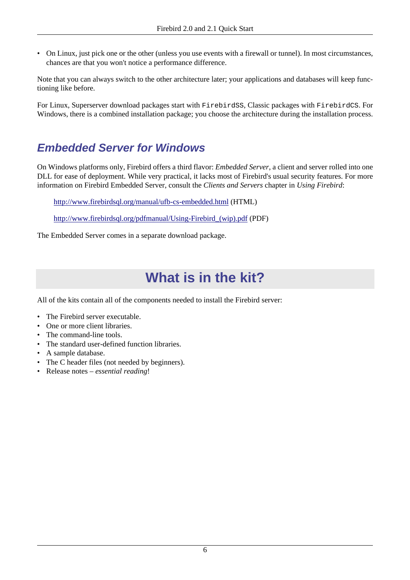• On Linux, just pick one or the other (unless you use events with a firewall or tunnel). In most circumstances, chances are that you won't notice a performance difference.

Note that you can always switch to the other architecture later; your applications and databases will keep functioning like before.

<span id="page-5-0"></span>For Linux, Superserver download packages start with FirebirdSS, Classic packages with FirebirdCS. For Windows, there is a combined installation package; you choose the architecture during the installation process.

## **Embedded Server for Windows**

On Windows platforms only, Firebird offers a third flavor: *Embedded Server*, a client and server rolled into one DLL for ease of deployment. While very practical, it lacks most of Firebird's usual security features. For more information on Firebird Embedded Server, consult the *Clients and Servers* chapter in *Using Firebird*:

<http://www.firebirdsql.org/manual/ufb-cs-embedded.html>(HTML)

[http://www.firebirdsql.org/pdfmanual/Using-Firebird\\_\(wip\).pdf](http://www.firebirdsql.org/pdfmanual/Using-Firebird_(wip).pdf) (PDF)

<span id="page-5-1"></span>The Embedded Server comes in a separate download package.

# <span id="page-5-2"></span>**What is in the kit?**

All of the kits contain all of the components needed to install the Firebird server:

- The Firebird server executable.
- One or more client libraries.
- The command-line tools.
- The standard user-defined function libraries.
- A sample database.
- The C header files (not needed by beginners).
- Release notes *essential reading*!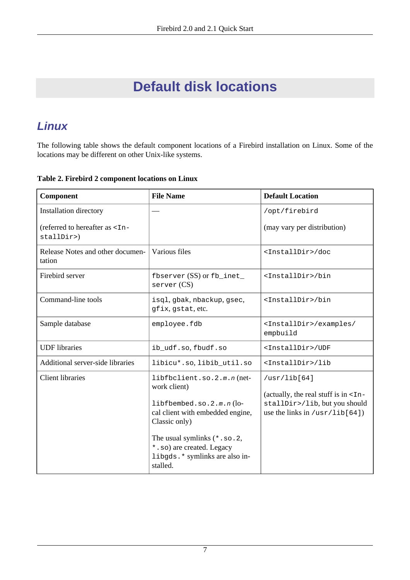# <span id="page-6-2"></span>**Default disk locations**

# <span id="page-6-3"></span><span id="page-6-1"></span><span id="page-6-0"></span>**Linux**

The following table shows the default component locations of a Firebird installation on Linux. Some of the locations may be different on other Unix-like systems.

**Table 2. Firebird 2 component locations on Linux**

| Component                                                | <b>File Name</b>                                                                                                                                                                                                                           | <b>Default Location</b>                                                                                                       |  |
|----------------------------------------------------------|--------------------------------------------------------------------------------------------------------------------------------------------------------------------------------------------------------------------------------------------|-------------------------------------------------------------------------------------------------------------------------------|--|
| Installation directory                                   |                                                                                                                                                                                                                                            | /opt/firebird                                                                                                                 |  |
| (referred to hereafter as <in-<br>stallDir&gt;)</in-<br> |                                                                                                                                                                                                                                            | (may vary per distribution)                                                                                                   |  |
| Release Notes and other documen-<br>tation               | Various files                                                                                                                                                                                                                              | <installdir>/doc</installdir>                                                                                                 |  |
| Firebird server                                          | fbserver $(SS)$ or $fb\_inet$<br>server (CS)                                                                                                                                                                                               | <installdir>/bin</installdir>                                                                                                 |  |
| Command-line tools                                       | isql, gbak, nbackup, gsec,<br>gfix, gstat, etc.                                                                                                                                                                                            | <installdir>/bin</installdir>                                                                                                 |  |
| Sample database                                          | employee.fdb                                                                                                                                                                                                                               | <installdir>/examples/<br/>empbuild</installdir>                                                                              |  |
| <b>UDF</b> libraries                                     | ib_udf.so, fbudf.so                                                                                                                                                                                                                        | <installdir>/UDF</installdir>                                                                                                 |  |
| <b>Additional server-side libraries</b>                  | libicu*.so, libib_util.so                                                                                                                                                                                                                  | <installdir>/lib</installdir>                                                                                                 |  |
| <b>Client libraries</b>                                  | libfbclient.so.2.m.n(net-<br>work client)<br>libfbembed.so.2.m.n(lo-<br>cal client with embedded engine,<br>Classic only)<br>The usual symlinks $(*. so. 2, )$<br>*.so) are created. Legacy<br>libgds. * symlinks are also in-<br>stalled. | /usr/lib[64]<br>(actually, the real stuff is in $\tan$ -<br>stallDir>/lib, but you should<br>use the links in $/usr/lib[64])$ |  |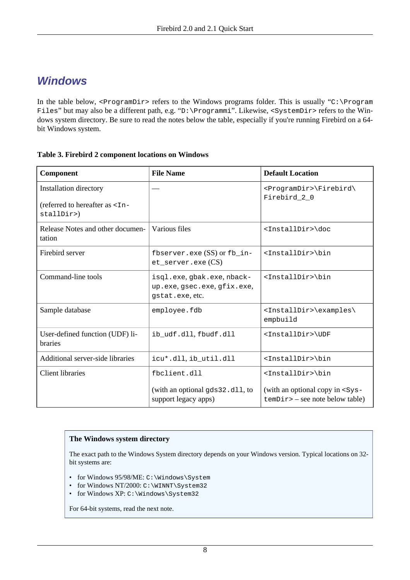## <span id="page-7-1"></span><span id="page-7-0"></span>**Windows**

In the table below, <ProgramDir> refers to the Windows programs folder. This is usually "C:\Program Files" but may also be a different path, e.g. "D:\Programmi". Likewise, <SystemDir> refers to the Windows system directory. Be sure to read the notes below the table, especially if you're running Firebird on a 64 bit Windows system.

#### **Table 3. Firebird 2 component locations on Windows**

| Component                                                                          | <b>File Name</b>                                                            | <b>Default Location</b>                                                       |  |
|------------------------------------------------------------------------------------|-----------------------------------------------------------------------------|-------------------------------------------------------------------------------|--|
| Installation directory<br>(referred to hereafter as <in-<br>stallDir&gt;)</in-<br> |                                                                             | <programdir>\Firebird\<br/>Firebird_2_0</programdir>                          |  |
| Release Notes and other documen-<br>tation                                         | Various files                                                               | <installdir>\doc</installdir>                                                 |  |
| Firebird server                                                                    | fbserver.exe $(SS)$ or $fb_$ in-<br>$et\_server \text{.}$ exe $(CS)$        | <installdir>\bin</installdir>                                                 |  |
| Command-line tools                                                                 | isql.exe, gbak.exe, nback-<br>up.exe, gsec.exe, gfix.exe,<br>qstat.exe.etc. | <installdir>\bin</installdir>                                                 |  |
| Sample database                                                                    | employee.fdb                                                                | <installdir>\examples\<br/>empbuild</installdir>                              |  |
| User-defined function (UDF) li-<br><b>braries</b>                                  | ib_udf.dll,fbudf.dll                                                        | <installdir>\UDF</installdir>                                                 |  |
| Additional server-side libraries                                                   | icu*.dll, ib_util.dll                                                       | <installdir>\bin</installdir>                                                 |  |
| <b>Client libraries</b>                                                            | fbclient.dll                                                                | <installdir>\bin</installdir>                                                 |  |
|                                                                                    | (with an optional gds32.dll, to<br>support legacy apps)                     | (with an optional copy in $<$ Sys-<br>$\text{temDir}$ – see note below table) |  |

#### **The Windows system directory**

The exact path to the Windows System directory depends on your Windows version. Typical locations on 32 bit systems are:

- for Windows 95/98/ME: C:\Windows\System
- for Windows NT/2000: C:\WINNT\System32
- for Windows XP: C:\Windows\System32

For 64-bit systems, read the next note.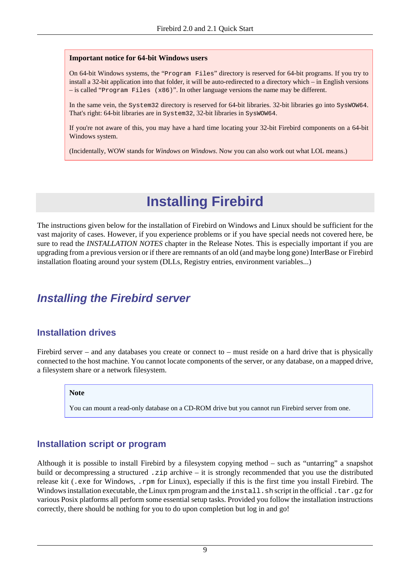#### **Important notice for 64-bit Windows users**

On 64-bit Windows systems, the "Program Files" directory is reserved for 64-bit programs. If you try to install a 32-bit application into that folder, it will be auto-redirected to a directory which – in English versions – is called "Program Files (x86)". In other language versions the name may be different.

In the same vein, the System32 directory is reserved for 64-bit libraries. 32-bit libraries go into SysWOW64. That's right: 64-bit libraries are in System32, 32-bit libraries in SysWOW64.

If you're not aware of this, you may have a hard time locating your 32-bit Firebird components on a 64-bit Windows system.

<span id="page-8-0"></span>(Incidentally, WOW stands for *Windows on Windows*. Now you can also work out what LOL means.)

# <span id="page-8-2"></span>**Installing Firebird**

The instructions given below for the installation of Firebird on Windows and Linux should be sufficient for the vast majority of cases. However, if you experience problems or if you have special needs not covered here, be sure to read the *INSTALLATION NOTES* chapter in the Release Notes. This is especially important if you are upgrading from a previous version or if there are remnants of an old (and maybe long gone) InterBase or Firebird installation floating around your system (DLLs, Registry entries, environment variables...)

## <span id="page-8-5"></span><span id="page-8-1"></span>**Installing the Firebird server**

## <span id="page-8-3"></span>**Installation drives**

Firebird server – and any databases you create or connect to – must reside on a hard drive that is physically connected to the host machine. You cannot locate components of the server, or any database, on a mapped drive, a filesystem share or a network filesystem.

#### **Note**

You can mount a read-only database on a CD-ROM drive but you cannot run Firebird server from one.

### <span id="page-8-4"></span>**Installation script or program**

Although it is possible to install Firebird by a filesystem copying method – such as "untarring" a snapshot build or decompressing a structured . zip archive – it is strongly recommended that you use the distributed release kit (.exe for Windows, .rpm for Linux), especially if this is the first time you install Firebird. The Windows installation executable, the Linux rpm program and the install, sh script in the official .tar.gz for various Posix platforms all perform some essential setup tasks. Provided you follow the installation instructions correctly, there should be nothing for you to do upon completion but log in and go!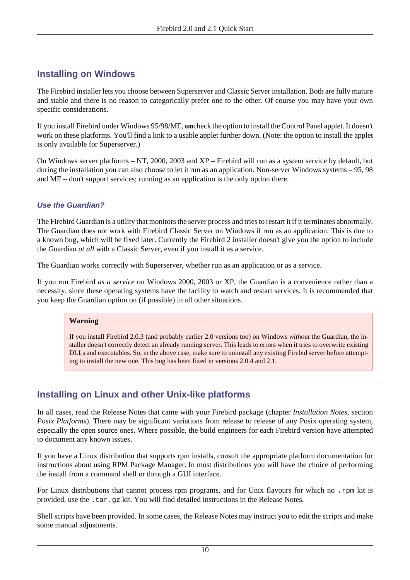## **Installing on Windows**

The Firebird installer lets you choose between Superserver and Classic Server installation. Both are fully mature and stable and there is no reason to categorically prefer one to the other. Of course you may have your own specific considerations.

If you install Firebird under Windows 95/98/ME, **un**check the option to install the Control Panel applet. It doesn't work on these platforms. You'll find a link to a usable applet further down. (Note: the option to install the applet is only available for Superserver.)

On Windows server platforms – NT, 2000, 2003 and XP – Firebird will run as a system service by default, but during the installation you can also choose to let it run as an application. Non-server Windows systems – 95, 98 and ME – don't support services; running as an application is the only option there.

### <span id="page-9-0"></span>**Use the Guardian?**

The Firebird Guardian is a utility that monitors the server process and tries to restart it if it terminates abnormally. The Guardian does not work with Firebird Classic Server on Windows if run as an application. This is due to a known bug, which will be fixed later. Currently the Firebird 2 installer doesn't give you the option to include the Guardian *at all* with a Classic Server, even if you install it as a service.

The Guardian works correctly with Superserver, whether run as an application or as a service.

If you run Firebird *as a service* on Windows 2000, 2003 or XP, the Guardian is a convenience rather than a necessity, since these operating systems have the facility to watch and restart services. It is recommended that you keep the Guardian option on (if possible) in all other situations.

#### **Warning**

If you install Firebird 2.0.3 (and probably earlier 2.0 versions too) on Windows *without* the Guardian, the installer doesn't correctly detect an already running server. This leads to errors when it tries to overwrite existing DLLs and executables. So, in the above case, make sure to uninstall any existing Firebid server before attempting to install the new one. This bug has been fixed in versions 2.0.4 and 2.1.

## **Installing on Linux and other Unix-like platforms**

In all cases, read the Release Notes that came with your Firebird package (chapter *Installation Notes*, section *Posix Platforms*). There may be significant variations from release to release of any Posix operating system, especially the open source ones. Where possible, the build engineers for each Firebird version have attempted to document any known issues.

If you have a Linux distribution that supports rpm installs, consult the appropriate platform documentation for instructions about using RPM Package Manager. In most distributions you will have the choice of performing the install from a command shell or through a GUI interface.

For Linux distributions that cannot process rpm programs, and for Unix flavours for which no .rpm kit is provided, use the .tar.gz kit. You will find detailed instructions in the Release Notes.

Shell scripts have been provided. In some cases, the Release Notes may instruct you to edit the scripts and make some manual adjustments.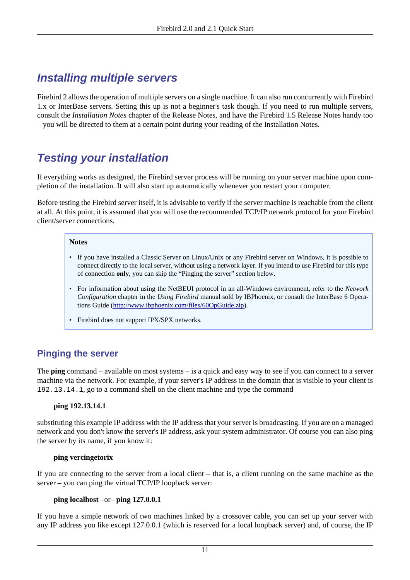# <span id="page-10-0"></span>**Installing multiple servers**

Firebird 2 allows the operation of multiple servers on a single machine. It can also run concurrently with Firebird 1.x or InterBase servers. Setting this up is not a beginner's task though. If you need to run multiple servers, consult the *Installation Notes* chapter of the Release Notes, and have the Firebird 1.5 Release Notes handy too – you will be directed to them at a certain point during your reading of the Installation Notes.

# <span id="page-10-3"></span><span id="page-10-1"></span>**Testing your installation**

If everything works as designed, the Firebird server process will be running on your server machine upon completion of the installation. It will also start up automatically whenever you restart your computer.

Before testing the Firebird server itself, it is advisable to verify if the server machine is reachable from the client at all. At this point, it is assumed that you will use the recommended TCP/IP network protocol for your Firebird client/server connections.

#### **Notes**

- If you have installed a Classic Server on Linux/Unix or any Firebird server on Windows, it is possible to connect directly to the local server, without using a network layer. If you intend to use Firebird for this type of connection **only**, you can skip the "Pinging the server" section below.
- For information about using the NetBEUI protocol in an all-Windows environment, refer to the *Network Configuration* chapter in the *Using Firebird* manual sold by IBPhoenix, or consult the InterBase 6 Operations Guide [\(http://www.ibphoenix.com/files/60OpGuide.zip](http://www.ibphoenix.com/files/60OpGuide.zip)).
- Firebird does not support IPX/SPX networks.

## <span id="page-10-2"></span>**Pinging the server**

The **ping** command – available on most systems – is a quick and easy way to see if you can connect to a server machine via the network. For example, if your server's IP address in the domain that is visible to your client is 192.13.14.1, go to a command shell on the client machine and type the command

#### **ping 192.13.14.1**

substituting this example IP address with the IP address that your server is broadcasting. If you are on a managed network and you don't know the server's IP address, ask your system administrator. Of course you can also ping the server by its name, if you know it:

#### **ping vercingetorix**

If you are connecting to the server from a local client – that is, a client running on the same machine as the server – you can ping the virtual TCP/IP loopback server:

#### **ping localhost** –or– **ping 127.0.0.1**

If you have a simple network of two machines linked by a crossover cable, you can set up your server with any IP address you like except 127.0.0.1 (which is reserved for a local loopback server) and, of course, the IP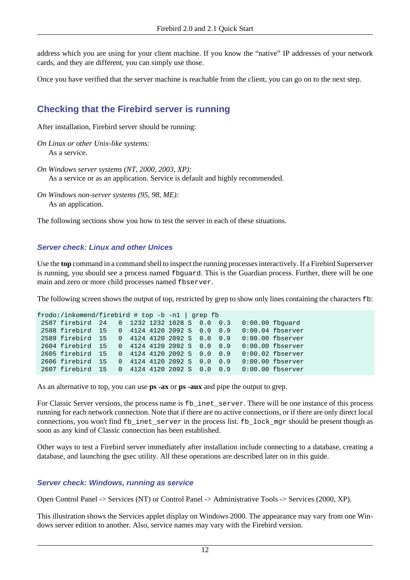address which you are using for your client machine. If you know the "native" IP addresses of your network cards, and they are different, you can simply use those.

Once you have verified that the server machine is reachable from the client, you can go on to the next step.

## <span id="page-11-0"></span>**Checking that the Firebird server is running**

After installation, Firebird server should be running:

```
On Linux or other Unix-like systems:
   As a service.
```
*On Windows server systems (NT, 2000, 2003, XP):* As a service or as an application. Service is default and highly recommended.

*On Windows non-server systems (95, 98, ME):* As an application.

The following sections show you how to test the server in each of these situations.

#### **Server check: Linux and other Unices**

<span id="page-11-1"></span>Use the **top** command in a command shell to inspect the running processes interactively. If a Firebird Superserver is running, you should see a process named fbguard. This is the Guardian process. Further, there will be one main and zero or more child processes named fbserver.

The following screen shows the output of top, restricted by grep to show only lines containing the characters  $\pm b$ :

```
frodo:/inkomend/firebird # top -b -n1 | grep fb
 2587 firebird 24 0 1232 1232 1028 S 0.0 0.3 0:00.00 fbguard
 2588 firebird 15 0 4124 4120 2092 S 0.0 0.9 0:00.04 fbserver
 2589 firebird 15 0 4124 4120 2092 S 0.0 0.9 0:00.00 fbserver
 2604 firebird 15 0 4124 4120 2092 S 0.0 0.9 0:00.00 fbserver
 2605 firebird 15 0 4124 4120 2092 S 0.0 0.9 0:00.02 fbserver
 2606 firebird 15 0 4124 4120 2092 S 0.0 0.9 0:00.00 fbserver
 2607 firebird 15 0 4124 4120 2092 S 0.0 0.9 0:00.00 fbserver
```
As an alternative to top, you can use **ps -ax** or **ps -aux** and pipe the output to grep.

For Classic Server versions, the process name is fb\_inet\_server. There will be one instance of this process running for each network connection. Note that if there are no active connections, or if there are only direct local connections, you won't find fb\_inet\_server in the process list. fb\_lock\_mgr should be present though as soon as any kind of Classic connection has been established.

Other ways to test a Firebird server immediately after installation include connecting to a database, creating a database, and launching the gsec utility. All these operations are described later on in this guide.

#### **Server check: Windows, running as service**

Open Control Panel -> Services (NT) or Control Panel -> Administrative Tools -> Services (2000, XP).

<span id="page-11-2"></span>This illustration shows the Services applet display on Windows 2000. The appearance may vary from one Windows server edition to another. Also, service names may vary with the Firebird version.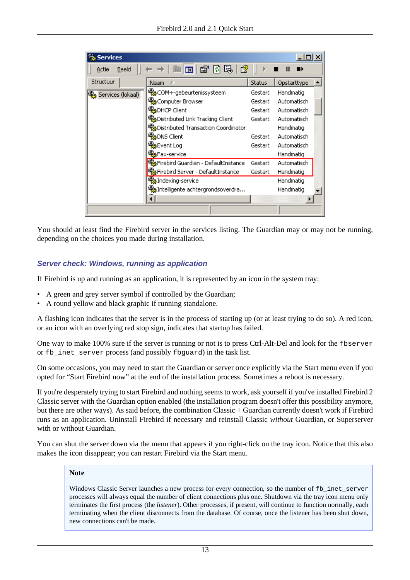| <b>Services</b>   |                                            |               |             |
|-------------------|--------------------------------------------|---------------|-------------|
| Beeld<br>Actie    | 暍<br>₿<br>閛<br>匝                           |               |             |
| Structuur         | Naam                                       | <b>Status</b> | Opstarttype |
| Services (lokaal) | <sup>68</sup> % COM+-gebeurtenissysteem    | Gestart.      | Handmatig   |
|                   | Computer Browser                           | Gestart       | Automatisch |
|                   | <b>Bo</b> DHCP Client                      | Gestart       | Automatisch |
|                   | <b>Bo</b> Distributed Link Tracking Client | Gestart       | Automatisch |
|                   | ‱Distributed Transaction Coordinator       |               | Handmatig   |
|                   | %BoNS Client                               | Gestart       | Automatisch |
|                   | % <mark></mark> Event Log                  | Gestart       | Automatisch |
|                   | %BFax-service                              |               | Handmatig   |
|                   | %BiFirebird Guardian - DefaultInstance     | Gestart       | Automatisch |
|                   | Firebird Server - DefaultInstance          | Gestart       | Handmatig   |
|                   | <b>Ro</b> Indexing-service                 |               | Handmatig   |
|                   | %aIntelligente achtergrondsoverdra         |               | Handmatig   |
|                   |                                            |               |             |
|                   |                                            |               |             |

You should at least find the Firebird server in the services listing. The Guardian may or may not be running, depending on the choices you made during installation.

#### **Server check: Windows, running as application**

If Firebird is up and running as an application, it is represented by an icon in the system tray:

- A green and grey server symbol if controlled by the Guardian;
- A round yellow and black graphic if running standalone.

A flashing icon indicates that the server is in the process of starting up (or at least trying to do so). A red icon, or an icon with an overlying red stop sign, indicates that startup has failed.

One way to make 100% sure if the server is running or not is to press Ctrl-Alt-Del and look for the fbserver or fb\_inet\_server process (and possibly fbguard) in the task list.

On some occasions, you may need to start the Guardian or server once explicitly via the Start menu even if you opted for "Start Firebird now" at the end of the installation process. Sometimes a reboot is necessary.

If you're desperately trying to start Firebird and nothing seems to work, ask yourself if you've installed Firebird 2 Classic server with the Guardian option enabled (the installation program doesn't offer this possibility anymore, but there are other ways). As said before, the combination Classic + Guardian currently doesn't work if Firebird runs as an application. Uninstall Firebird if necessary and reinstall Classic *without* Guardian, or Superserver with or without Guardian.

You can shut the server down via the menu that appears if you right-click on the tray icon. Notice that this also makes the icon disappear; you can restart Firebird via the Start menu.

#### **Note**

Windows Classic Server launches a new process for every connection, so the number of fb\_inet\_server processes will always equal the number of client connections plus one. Shutdown via the tray icon menu only terminates the first process (the *listener*). Other processes, if present, will continue to function normally, each terminating when the client disconnects from the database. Of course, once the listener has been shut down, new connections can't be made.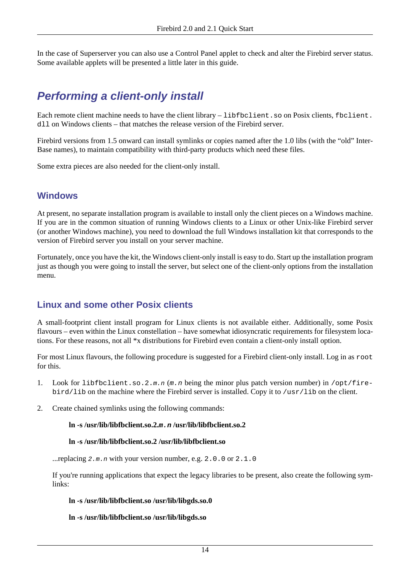<span id="page-13-0"></span>In the case of Superserver you can also use a Control Panel applet to check and alter the Firebird server status. Some available applets will be presented a little later in this guide.

# <span id="page-13-1"></span>**Performing a client-only install**

Each remote client machine needs to have the client library – libfbclient. so on Posix clients, fbclient. dll on Windows clients – that matches the release version of the Firebird server.

Firebird versions from 1.5 onward can install symlinks or copies named after the 1.0 libs (with the "old" Inter-Base names), to maintain compatibility with third-party products which need these files.

Some extra pieces are also needed for the client-only install.

### **Windows**

At present, no separate installation program is available to install only the client pieces on a Windows machine. If you are in the common situation of running Windows clients to a Linux or other Unix-like Firebird server (or another Windows machine), you need to download the full Windows installation kit that corresponds to the version of Firebird server you install on your server machine.

Fortunately, once you have the kit, the Windows client-only install is easy to do. Start up the installation program just as though you were going to install the server, but select one of the client-only options from the installation menu.

### **Linux and some other Posix clients**

A small-footprint client install program for Linux clients is not available either. Additionally, some Posix flavours – even within the Linux constellation – have somewhat idiosyncratic requirements for filesystem locations. For these reasons, not all \*x distributions for Firebird even contain a client-only install option.

For most Linux flavours, the following procedure is suggested for a Firebird client-only install. Log in as root for this.

- 1. Look for libfbclient.so.2.m.n  $(m, n)$  being the minor plus patch version number) in /opt/firebird/lib on the machine where the Firebird server is installed. Copy it to /usr/lib on the client.
- 2. Create chained symlinks using the following commands:

#### **ln -s /usr/lib/libfbclient.so.2.m.n /usr/lib/libfbclient.so.2**

#### **ln -s /usr/lib/libfbclient.so.2 /usr/lib/libfbclient.so**

...replacing  $2 \cdot m \cdot n$  with your version number, e.g.  $2 \cdot 0 \cdot 0$  or  $2 \cdot 1 \cdot 0$ 

If you're running applications that expect the legacy libraries to be present, also create the following symlinks:

#### **ln -s /usr/lib/libfbclient.so /usr/lib/libgds.so.0**

**ln -s /usr/lib/libfbclient.so /usr/lib/libgds.so**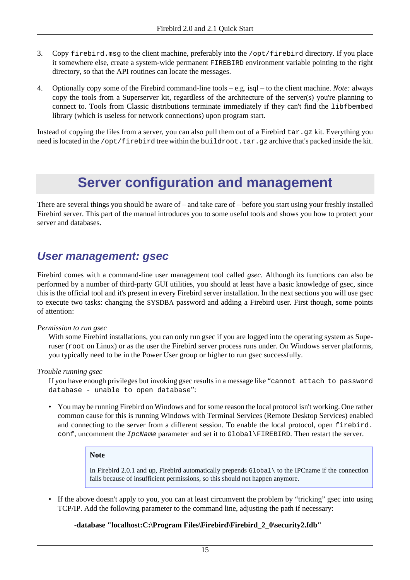- 3. Copy firebird.msg to the client machine, preferably into the /opt/firebird directory. If you place it somewhere else, create a system-wide permanent FIREBIRD environment variable pointing to the right directory, so that the API routines can locate the messages.
- 4. Optionally copy some of the Firebird command-line tools e.g. isql to the client machine. *Note:* always copy the tools from a Superserver kit, regardless of the architecture of the server(s) you're planning to connect to. Tools from Classic distributions terminate immediately if they can't find the libfbembed library (which is useless for network connections) upon program start.

<span id="page-14-0"></span>Instead of copying the files from a server, you can also pull them out of a Firebird tar.gz kit. Everything you need is located in the /opt/firebird tree within the buildroot.tar.gz archive that's packed inside the kit.

# <span id="page-14-2"></span>**Server configuration and management**

There are several things you should be aware of – and take care of – before you start using your freshly installed Firebird server. This part of the manual introduces you to some useful tools and shows you how to protect your server and databases.

## <span id="page-14-3"></span><span id="page-14-1"></span>**User management: gsec**

Firebird comes with a command-line user management tool called *gsec*. Although its functions can also be performed by a number of third-party GUI utilities, you should at least have a basic knowledge of gsec, since this is the official tool and it's present in every Firebird server installation. In the next sections you will use gsec to execute two tasks: changing the SYSDBA password and adding a Firebird user. First though, some points of attention:

#### *Permission to run gsec*

With some Firebird installations, you can only run gsec if you are logged into the operating system as Superuser (root on Linux) or as the user the Firebird server process runs under. On Windows server platforms, you typically need to be in the Power User group or higher to run gsec successfully.

#### *Trouble running gsec*

If you have enough privileges but invoking gsec results in a message like "cannot attach to password database - unable to open database":

• You may be running Firebird on Windows and for some reason the local protocol isn't working. One rather common cause for this is running Windows with Terminal Services (Remote Desktop Services) enabled and connecting to the server from a different session. To enable the local protocol, open firebird. conf, uncomment the *IpcName* parameter and set it to Global\FIREBIRD. Then restart the server.

#### **Note**

In Firebird 2.0.1 and up, Firebird automatically prepends Global\ to the IPCname if the connection fails because of insufficient permissions, so this should not happen anymore.

• If the above doesn't apply to you, you can at least circumvent the problem by "tricking" gsec into using TCP/IP. Add the following parameter to the command line, adjusting the path if necessary:

#### **-database "localhost:C:\Program Files\Firebird\Firebird\_2\_0\security2.fdb"**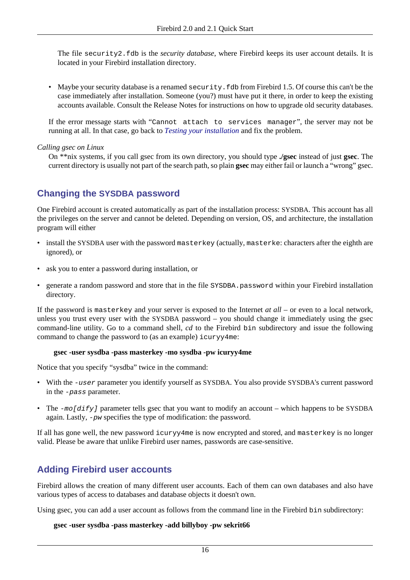The file security2.fdb is the *security database*, where Firebird keeps its user account details. It is located in your Firebird installation directory.

• Maybe your security database is a renamed security. fdb from Firebird 1.5. Of course this can't be the case immediately after installation. Someone (you?) must have put it there, in order to keep the existing accounts available. Consult the Release Notes for instructions on how to upgrade old security databases.

If the error message starts with "Cannot attach to services manager", the server may not be running at all. In that case, go back to *[Testing your installation](#page-10-1)* and fix the problem.

*Calling gsec on Linux*

On \*\*nix systems, if you call gsec from its own directory, you should type **./gsec** instead of just **gsec**. The current directory is usually not part of the search path, so plain **gsec** may either fail or launch a "wrong" gsec.

### <span id="page-15-0"></span>**Changing the SYSDBA password**

One Firebird account is created automatically as part of the installation process: SYSDBA. This account has all the privileges on the server and cannot be deleted. Depending on version, OS, and architecture, the installation program will either

- install the SYSDBA user with the password masterkey (actually, masterke: characters after the eighth are ignored), or
- ask you to enter a password during installation, or
- generate a random password and store that in the file SYSDBA.password within your Firebird installation directory.

If the password is masterkey and your server is exposed to the Internet *at all* – or even to a local network, unless you trust every user with the SYSDBA password – you should change it immediately using the gsec command-line utility. Go to a command shell, *cd* to the Firebird bin subdirectory and issue the following command to change the password to (as an example) icuryy4me:

#### **gsec -user sysdba -pass masterkey -mo sysdba -pw icuryy4me**

Notice that you specify "sysdba" twice in the command:

- With the -user parameter you identify yourself as SYSDBA. You also provide SYSDBA's current password in the -pass parameter.
- The -mo[dify] parameter tells gsec that you want to modify an account which happens to be SYSDBA again. Lastly, -pw specifies the type of modification: the password.

If all has gone well, the new password icuryy4me is now encrypted and stored, and masterkey is no longer valid. Please be aware that unlike Firebird user names, passwords are case-sensitive.

### **Adding Firebird user accounts**

Firebird allows the creation of many different user accounts. Each of them can own databases and also have various types of access to databases and database objects it doesn't own.

Using gsec, you can add a user account as follows from the command line in the Firebird bin subdirectory:

#### **gsec -user sysdba -pass masterkey -add billyboy -pw sekrit66**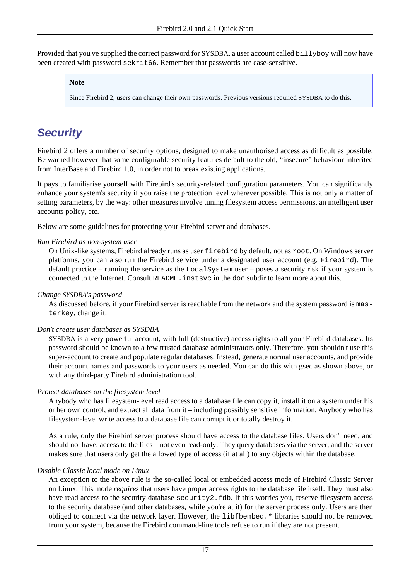Provided that you've supplied the correct password for SYSDBA, a user account called billyboy will now have been created with password sekrit66. Remember that passwords are case-sensitive.

#### **Note**

Since Firebird 2, users can change their own passwords. Previous versions required SYSDBA to do this.

# <span id="page-16-1"></span><span id="page-16-0"></span>**Security**

Firebird 2 offers a number of security options, designed to make unauthorised access as difficult as possible. Be warned however that some configurable security features default to the old, "insecure" behaviour inherited from InterBase and Firebird 1.0, in order not to break existing applications.

It pays to familiarise yourself with Firebird's security-related configuration parameters. You can significantly enhance your system's security if you raise the protection level wherever possible. This is not only a matter of setting parameters, by the way: other measures involve tuning filesystem access permissions, an intelligent user accounts policy, etc.

Below are some guidelines for protecting your Firebird server and databases.

#### *Run Firebird as non-system user*

On Unix-like systems, Firebird already runs as user firebird by default, not as root. On Windows server platforms, you can also run the Firebird service under a designated user account (e.g. Firebird). The default practice – running the service as the LocalSystem user – poses a security risk if your system is connected to the Internet. Consult README.instsvc in the doc subdir to learn more about this.

#### <span id="page-16-2"></span>*Change SYSDBA's password*

As discussed before, if your Firebird server is reachable from the network and the system password is masterkey, change it.

#### <span id="page-16-3"></span>*Don't create user databases as SYSDBA*

SYSDBA is a very powerful account, with full (destructive) access rights to all your Firebird databases. Its password should be known to a few trusted database administrators only. Therefore, you shouldn't use this super-account to create and populate regular databases. Instead, generate normal user accounts, and provide their account names and passwords to your users as needed. You can do this with gsec as shown above, or with any third-party Firebird administration tool.

#### *Protect databases on the filesystem level*

Anybody who has filesystem-level read access to a database file can copy it, install it on a system under his or her own control, and extract all data from it – including possibly sensitive information. Anybody who has filesystem-level write access to a database file can corrupt it or totally destroy it.

As a rule, only the Firebird server process should have access to the database files. Users don't need, and should not have, access to the files – not even read-only. They query databases via the server, and the server makes sure that users only get the allowed type of access (if at all) to any objects within the database.

#### *Disable Classic local mode on Linux*

An exception to the above rule is the so-called local or embedded access mode of Firebird Classic Server on Linux. This mode *requires* that users have proper access rights to the database file itself. They must also have read access to the security database security2.fdb. If this worries you, reserve filesystem access to the security database (and other databases, while you're at it) for the server process only. Users are then obliged to connect via the network layer. However, the libfbembed.\* libraries should not be removed from your system, because the Firebird command-line tools refuse to run if they are not present.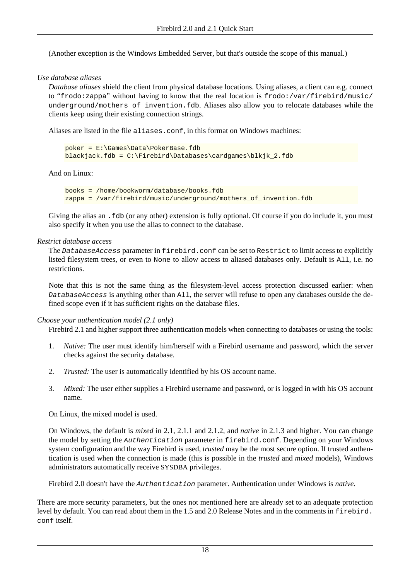(Another exception is the Windows Embedded Server, but that's outside the scope of this manual.)

#### <span id="page-17-0"></span>*Use database aliases*

*Database aliases* shield the client from physical database locations. Using aliases, a client can e.g. connect to "frodo:zappa" without having to know that the real location is frodo:/var/firebird/music/ underground/mothers\_of\_invention.fdb. Aliases also allow you to relocate databases while the clients keep using their existing connection strings.

Aliases are listed in the file aliases.conf, in this format on Windows machines:

```
poker = E:\Games\Data\PokerBase.fdb
blackjack.fdb = C:\Firebird\Databases\cardgames\blkjk_2.fdb
```
And on Linux:

```
books = /home/bookworm/database/books.fdb
zappa = /var/firebird/music/underground/mothers_of_invention.fdb
```
Giving the alias an .fdb (or any other) extension is fully optional. Of course if you do include it, you must also specify it when you use the alias to connect to the database.

#### *Restrict database access*

The DatabaseAccess parameter in firebird.conf can be set to Restrict to limit access to explicitly listed filesystem trees, or even to None to allow access to aliased databases only. Default is All, i.e. no restrictions.

Note that this is not the same thing as the filesystem-level access protection discussed earlier: when DatabaseAccess is anything other than All, the server will refuse to open any databases outside the defined scope even if it has sufficient rights on the database files.

#### <span id="page-17-1"></span>*Choose your authentication model (2.1 only)*

Firebird 2.1 and higher support three authentication models when connecting to databases or using the tools:

- 1. *Native:* The user must identify him/herself with a Firebird username and password, which the server checks against the security database.
- 2. *Trusted:* The user is automatically identified by his OS account name.
- 3. *Mixed:* The user either supplies a Firebird username and password, or is logged in with his OS account name.

On Linux, the mixed model is used.

On Windows, the default is *mixed* in 2.1, 2.1.1 and 2.1.2, and *native* in 2.1.3 and higher. You can change the model by setting the Authentication parameter in firebird.conf. Depending on your Windows system configuration and the way Firebird is used, *trusted* may be the most secure option. If trusted authentication is used when the connection is made (this is possible in the *trusted* and *mixed* models), Windows administrators automatically receive SYSDBA privileges.

Firebird 2.0 doesn't have the Authentication parameter. Authentication under Windows is *native*.

There are more security parameters, but the ones not mentioned here are already set to an adequate protection level by default. You can read about them in the 1.5 and 2.0 Release Notes and in the comments in firebird. conf itself.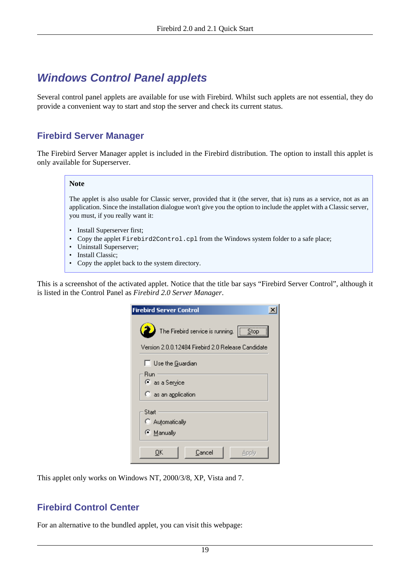# <span id="page-18-1"></span><span id="page-18-0"></span>**Windows Control Panel applets**

Several control panel applets are available for use with Firebird. Whilst such applets are not essential, they do provide a convenient way to start and stop the server and check its current status.

## **Firebird Server Manager**

The Firebird Server Manager applet is included in the Firebird distribution. The option to install this applet is only available for Superserver.

#### **Note**

The applet is also usable for Classic server, provided that it (the server, that is) runs as a service, not as an application. Since the installation dialogue won't give you the option to include the applet with a Classic server, you must, if you really want it:

- Install Superserver first;
- Copy the applet Firebird2Control.cpl from the Windows system folder to a safe place;
- Uninstall Superserver;
- Install Classic;
- Copy the applet back to the system directory.

This is a screenshot of the activated applet. Notice that the title bar says "Firebird Server Control", although it is listed in the Control Panel as *Firebird 2.0 Server Manager*.

| <b>Firebird Server Control</b>                     |  |
|----------------------------------------------------|--|
| The Firebird service is running.<br>$ \Box$ Stop   |  |
| Version 2.0.0.12484 Firebird 2.0 Release Candidate |  |
| Ⅰ■ Use the Guardian<br>Run                         |  |
| ● as a Service                                     |  |
| $\heartsuit$ as an application                     |  |
| Start<br>C Automatically                           |  |
| © Manually                                         |  |
| Cancel<br>OΚ<br>Apply                              |  |

This applet only works on Windows NT, 2000/3/8, XP, Vista and 7.

### **Firebird Control Center**

For an alternative to the bundled applet, you can visit this webpage: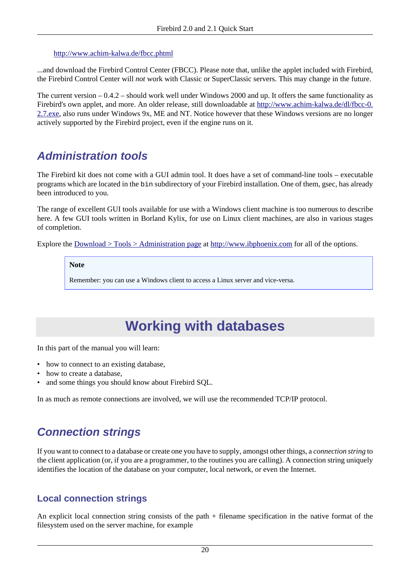#### <http://www.achim-kalwa.de/fbcc.phtml>

...and download the Firebird Control Center (FBCC). Please note that, unlike the applet included with Firebird, the Firebird Control Center will *not* work with Classic or SuperClassic servers. This may change in the future.

The current version – 0.4.2 – should work well under Windows 2000 and up. It offers the same functionality as Firebird's own applet, and more. An older release, still downloadable at [http://www.achim-kalwa.de/dl/fbcc-0.](http://www.achim-kalwa.de/dl/fbcc-0.2.7.exe) [2.7.exe,](http://www.achim-kalwa.de/dl/fbcc-0.2.7.exe) also runs under Windows 9x, ME and NT. Notice however that these Windows versions are no longer actively supported by the Firebird project, even if the engine runs on it.

## <span id="page-19-3"></span><span id="page-19-0"></span>**Administration tools**

The Firebird kit does not come with a GUI admin tool. It does have a set of command-line tools – executable programs which are located in the bin subdirectory of your Firebird installation. One of them, gsec, has already been introduced to you.

The range of excellent GUI tools available for use with a Windows client machine is too numerous to describe here. A few GUI tools written in Borland Kylix, for use on Linux client machines, are also in various stages of completion.

Explore the [Download > Tools > Administration page](http://www.ibphoenix.com/download/tools/admin) at <http://www.ibphoenix.com> for all of the options.

#### **Note**

<span id="page-19-1"></span>Remember: you can use a Windows client to access a Linux server and vice-versa.

# <span id="page-19-5"></span>**Working with databases**

In this part of the manual you will learn:

- how to connect to an existing database,
- how to create a database,
- and some things you should know about Firebird SQL.

<span id="page-19-2"></span>In as much as remote connections are involved, we will use the recommended TCP/IP protocol.

## <span id="page-19-4"></span>**Connection strings**

If you want to connect to a database or create one you have to supply, amongst other things, a *connection string* to the client application (or, if you are a programmer, to the routines you are calling). A connection string uniquely identifies the location of the database on your computer, local network, or even the Internet.

### **Local connection strings**

An explicit local connection string consists of the path + filename specification in the native format of the filesystem used on the server machine, for example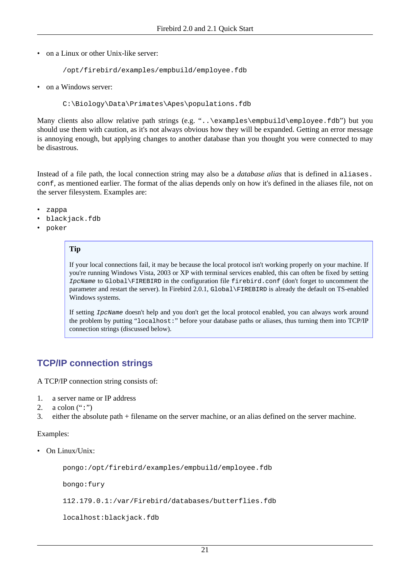• on a Linux or other Unix-like server:

```
/opt/firebird/examples/empbuild/employee.fdb
```
• on a Windows server:

C:\Biology\Data\Primates\Apes\populations.fdb

Many clients also allow relative path strings (e.g. "..\examples\empbuild\employee.fdb") but you should use them with caution, as it's not always obvious how they will be expanded. Getting an error message is annoying enough, but applying changes to another database than you thought you were connected to may be disastrous.

<span id="page-20-0"></span>Instead of a file path, the local connection string may also be a *database alias* that is defined in aliases. conf, as mentioned earlier. The format of the alias depends only on how it's defined in the aliases file, not on the server filesystem. Examples are:

- zappa
- blackjack.fdb
- poker

### **Tip**

If your local connections fail, it may be because the local protocol isn't working properly on your machine. If you're running Windows Vista, 2003 or XP with terminal services enabled, this can often be fixed by setting IpcName to Global\FIREBIRD in the configuration file firebird.conf (don't forget to uncomment the parameter and restart the server). In Firebird 2.0.1, Global\FIREBIRD is already the default on TS-enabled Windows systems.

If setting IpcName doesn't help and you don't get the local protocol enabled, you can always work around the problem by putting "localhost:" before your database paths or aliases, thus turning them into TCP/IP connection strings (discussed below).

## <span id="page-20-1"></span>**TCP/IP connection strings**

A TCP/IP connection string consists of:

- 1. a server name or IP address
- 2. a colon  $(";")$
- 3. either the absolute path + filename on the server machine, or an alias defined on the server machine.

#### Examples:

• On Linux/Unix:

```
pongo:/opt/firebird/examples/empbuild/employee.fdb
```
bongo:fury

112.179.0.1:/var/Firebird/databases/butterflies.fdb

localhost:blackjack.fdb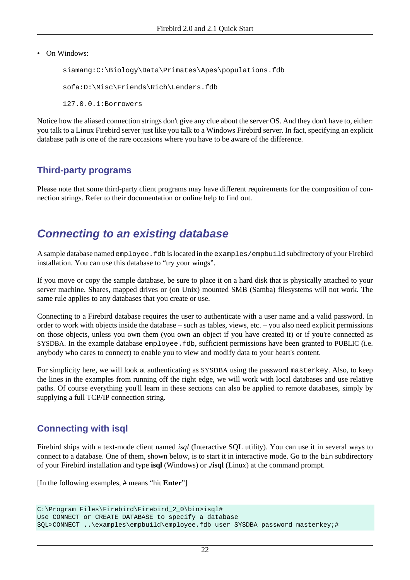• On Windows:

siamang:C:\Biology\Data\Primates\Apes\populations.fdb sofa:D:\Misc\Friends\Rich\Lenders.fdb 127.0.0.1:Borrowers

<span id="page-21-1"></span>Notice how the aliased connection strings don't give any clue about the server OS. And they don't have to, either: you talk to a Linux Firebird server just like you talk to a Windows Firebird server. In fact, specifying an explicit database path is one of the rare occasions where you have to be aware of the difference.

## **Third-party programs**

<span id="page-21-0"></span>Please note that some third-party client programs may have different requirements for the composition of connection strings. Refer to their documentation or online help to find out.

## <span id="page-21-2"></span>**Connecting to an existing database**

<span id="page-21-5"></span>A sample database named employee.fdb is located in the examples/empbuild subdirectory of your Firebird installation. You can use this database to "try your wings".

If you move or copy the sample database, be sure to place it on a hard disk that is physically attached to your server machine. Shares, mapped drives or (on Unix) mounted SMB (Samba) filesystems will not work. The same rule applies to any databases that you create or use.

Connecting to a Firebird database requires the user to authenticate with a user name and a valid password. In order to work with objects inside the database – such as tables, views, etc. – you also need explicit permissions on those objects, unless you own them (you own an object if you have created it) or if you're connected as SYSDBA. In the example database employee.fdb, sufficient permissions have been granted to PUBLIC (i.e. anybody who cares to connect) to enable you to view and modify data to your heart's content.

For simplicity here, we will look at authenticating as SYSDBA using the password masterkey. Also, to keep the lines in the examples from running off the right edge, we will work with local databases and use relative paths. Of course everything you'll learn in these sections can also be applied to remote databases, simply by supplying a full TCP/IP connection string.

## <span id="page-21-4"></span>**Connecting with isql**

Firebird ships with a text-mode client named *isql* (Interactive SQL utility). You can use it in several ways to connect to a database. One of them, shown below, is to start it in interactive mode. Go to the bin subdirectory of your Firebird installation and type **isql** (Windows) or **./isql** (Linux) at the command prompt.

<span id="page-21-3"></span>[In the following examples, # means "hit **Enter**"]

```
C:\Program Files\Firebird\Firebird_2_0\bin>isql#
Use CONNECT or CREATE DATABASE to specify a database
SQL>CONNECT ..\examples\empbuild\employee.fdb user SYSDBA password masterkey;#
```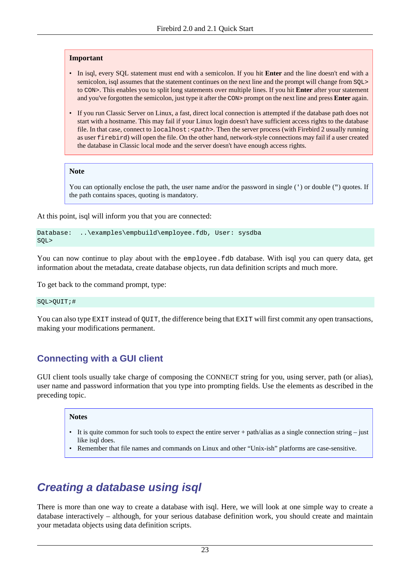#### **Important**

- In isql, every SQL statement must end with a semicolon. If you hit **Enter** and the line doesn't end with a semicolon, isql assumes that the statement continues on the next line and the prompt will change from SQL> to CON>. This enables you to split long statements over multiple lines. If you hit **Enter** after your statement and you've forgotten the semicolon, just type it after the CON> prompt on the next line and press **Enter** again.
- If you run Classic Server on Linux, a fast, direct local connection is attempted if the database path does not start with a hostname. This may fail if your Linux login doesn't have sufficient access rights to the database file. In that case, connect to  $1 \circ \text{calhost}$ :  $\leq \text{path}$ . Then the server process (with Firebird 2 usually running as user firebird) will open the file. On the other hand, network-style connections may fail if a user created the database in Classic local mode and the server doesn't have enough access rights.

#### **Note**

You can optionally enclose the path, the user name and/or the password in single (') or double (") quotes. If the path contains spaces, quoting is mandatory.

At this point, isql will inform you that you are connected:

```
Database: ..\examples\empbuild\employee.fdb, User: sysdba
SQL>
```
You can now continue to play about with the employee. Edb database. With isql you can query data, get information about the metadata, create database objects, run data definition scripts and much more.

To get back to the command prompt, type:

SQL>QUIT;#

You can also type EXIT instead of QUIT, the difference being that EXIT will first commit any open transactions, making your modifications permanent.

### <span id="page-22-1"></span>**Connecting with a GUI client**

GUI client tools usually take charge of composing the CONNECT string for you, using server, path (or alias), user name and password information that you type into prompting fields. Use the elements as described in the preceding topic.

#### **Notes**

- It is quite common for such tools to expect the entire server + path/alias as a single connection string just like isql does.
- Remember that file names and commands on Linux and other "Unix-ish" platforms are case-sensitive.

# <span id="page-22-2"></span><span id="page-22-0"></span>**Creating a database using isql**

There is more than one way to create a database with isql. Here, we will look at one simple way to create a database interactively – although, for your serious database definition work, you should create and maintain your metadata objects using data definition scripts.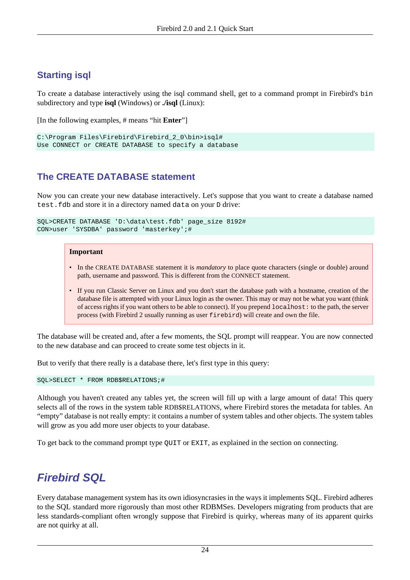## **Starting isql**

To create a database interactively using the isql command shell, get to a command prompt in Firebird's bin subdirectory and type **isql** (Windows) or **./isql** (Linux):

[In the following examples, # means "hit **Enter**"]

```
C:\Program Files\Firebird\Firebird 2 0\bin>isgl#
Use CONNECT or CREATE DATABASE to specify a database
```
## <span id="page-23-1"></span>**The CREATE DATABASE statement**

Now you can create your new database interactively. Let's suppose that you want to create a database named test.fdb and store it in a directory named data on your D drive:

```
SQL>CREATE DATABASE 'D:\data\test.fdb' page_size 8192#
CON>user 'SYSDBA' password 'masterkey';#
```
#### **Important**

- In the CREATE DATABASE statement it is *mandatory* to place quote characters (single or double) around path, username and password. This is different from the CONNECT statement.
- If you run Classic Server on Linux and you don't start the database path with a hostname, creation of the database file is attempted with your Linux login as the owner. This may or may not be what you want (think of access rights if you want others to be able to connect). If you prepend localhost: to the path, the server process (with Firebird 2 usually running as user firebird) will create and own the file.

The database will be created and, after a few moments, the SQL prompt will reappear. You are now connected to the new database and can proceed to create some test objects in it.

But to verify that there really is a database there, let's first type in this query:

SQL>SELECT \* FROM RDB\$RELATIONS;#

<span id="page-23-2"></span>Although you haven't created any tables yet, the screen will fill up with a large amount of data! This query selects all of the rows in the system table RDB\$RELATIONS, where Firebird stores the metadata for tables. An "empty" database is not really empty: it contains a number of system tables and other objects. The system tables will grow as you add more user objects to your database.

<span id="page-23-0"></span>To get back to the command prompt type QUIT or EXIT, as explained in the section on connecting.

## <span id="page-23-3"></span>**Firebird SQL**

Every database management system has its own idiosyncrasies in the ways it implements SQL. Firebird adheres to the SQL standard more rigorously than most other RDBMSes. Developers migrating from products that are less standards-compliant often wrongly suppose that Firebird is quirky, whereas many of its apparent quirks are not quirky at all.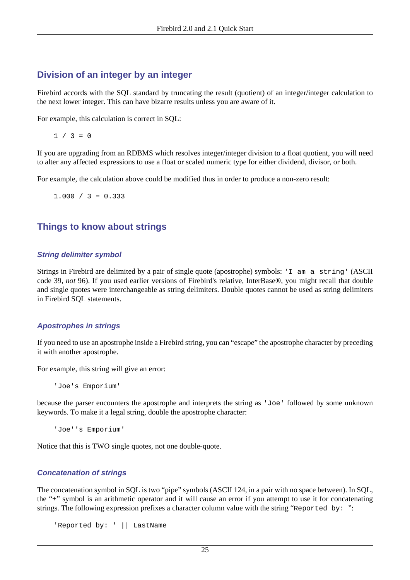### <span id="page-24-1"></span>**Division of an integer by an integer**

Firebird accords with the SQL standard by truncating the result (quotient) of an integer/integer calculation to the next lower integer. This can have bizarre results unless you are aware of it.

For example, this calculation is correct in SQL:

 $1 / 3 = 0$ 

If you are upgrading from an RDBMS which resolves integer/integer division to a float quotient, you will need to alter any affected expressions to use a float or scaled numeric type for either dividend, divisor, or both.

For example, the calculation above could be modified thus in order to produce a non-zero result:

 $1.000 / 3 = 0.333$ 

### <span id="page-24-2"></span>**Things to know about strings**

#### <span id="page-24-4"></span>**String delimiter symbol**

Strings in Firebird are delimited by a pair of single quote (apostrophe) symbols: 'I am a string' (ASCII code 39, *not* 96). If you used earlier versions of Firebird's relative, InterBase®, you might recall that double and single quotes were interchangeable as string delimiters. Double quotes cannot be used as string delimiters in Firebird SQL statements.

#### <span id="page-24-0"></span>**Apostrophes in strings**

If you need to use an apostrophe inside a Firebird string, you can "escape" the apostrophe character by preceding it with another apostrophe.

For example, this string will give an error:

'Joe's Emporium'

because the parser encounters the apostrophe and interprets the string as 'Joe' followed by some unknown keywords. To make it a legal string, double the apostrophe character:

'Joe''s Emporium'

Notice that this is TWO single quotes, not one double-quote.

#### <span id="page-24-3"></span>**Concatenation of strings**

The concatenation symbol in SQL is two "pipe" symbols (ASCII 124, in a pair with no space between). In SQL, the "+" symbol is an arithmetic operator and it will cause an error if you attempt to use it for concatenating strings. The following expression prefixes a character column value with the string "Reported by: ":

'Reported by: ' || LastName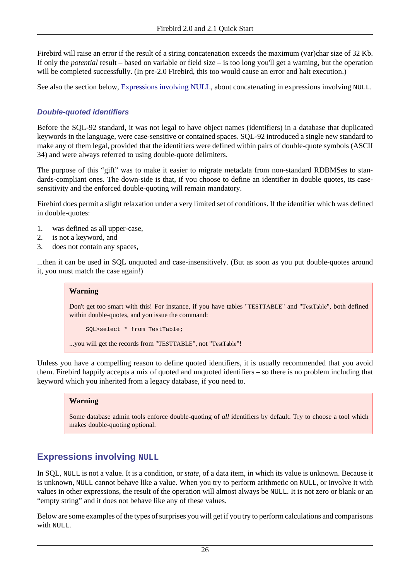Firebird will raise an error if the result of a string concatenation exceeds the maximum (var)char size of 32 Kb. If only the *potential* result – based on variable or field size – is too long you'll get a warning, but the operation will be completed successfully. (In pre-2.0 Firebird, this too would cause an error and halt execution.)

See also the section below, [Expressions involving NULL,](#page-25-0) about concatenating in expressions involving NULL.

#### <span id="page-25-1"></span>**Double-quoted identifiers**

Before the SQL-92 standard, it was not legal to have object names (identifiers) in a database that duplicated keywords in the language, were case-sensitive or contained spaces. SQL-92 introduced a single new standard to make any of them legal, provided that the identifiers were defined within pairs of double-quote symbols (ASCII 34) and were always referred to using double-quote delimiters.

The purpose of this "gift" was to make it easier to migrate metadata from non-standard RDBMSes to standards-compliant ones. The down-side is that, if you choose to define an identifier in double quotes, its casesensitivity and the enforced double-quoting will remain mandatory.

Firebird does permit a slight relaxation under a very limited set of conditions. If the identifier which was defined in double-quotes:

- 1. was defined as all upper-case,
- 2. is not a keyword, and
- 3. does not contain any spaces,

...then it can be used in SQL unquoted and case-insensitively. (But as soon as you put double-quotes around it, you must match the case again!)

#### **Warning**

Don't get too smart with this! For instance, if you have tables "TESTTABLE" and "TestTable", both defined within double-quotes, and you issue the command:

SQL>select \* from TestTable;

...you will get the records from "TESTTABLE", not "TestTable"!

Unless you have a compelling reason to define quoted identifiers, it is usually recommended that you avoid them. Firebird happily accepts a mix of quoted and unquoted identifiers – so there is no problem including that keyword which you inherited from a legacy database, if you need to.

#### **Warning**

Some database admin tools enforce double-quoting of *all* identifiers by default. Try to choose a tool which makes double-quoting optional.

### <span id="page-25-2"></span><span id="page-25-0"></span>**Expressions involving NULL**

In SQL, NULL is not a value. It is a condition, or *state*, of a data item, in which its value is unknown. Because it is unknown, NULL cannot behave like a value. When you try to perform arithmetic on NULL, or involve it with values in other expressions, the result of the operation will almost always be NULL. It is not zero or blank or an "empty string" and it does not behave like any of these values.

Below are some examples of the types of surprises you will get if you try to perform calculations and comparisons with NULL.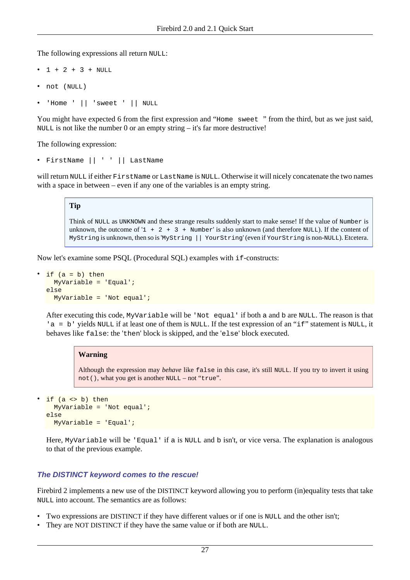The following expressions all return NULL:

- $1 + 2 + 3 + NULL$
- not (NULL)
- 'Home ' || 'sweet ' || NULL

You might have expected 6 from the first expression and "Home sweet" from the third, but as we just said, NULL is not like the number 0 or an empty string – it's far more destructive!

The following expression:

• FirstName || ' ' || LastName

will return NULL if either FirstName or LastName is NULL. Otherwise it will nicely concatenate the two names with a space in between – even if any one of the variables is an empty string.

#### **Tip**

Think of NULL as UNKNOWN and these strange results suddenly start to make sense! If the value of Number is unknown, the outcome of '1  $+ 2 + 3 +$  Number' is also unknown (and therefore NULL). If the content of MyString is unknown, then so is 'MyString || YourString' (even if YourString is non-NULL). Etcetera.

Now let's examine some PSQL (Procedural SQL) examples with if-constructs:

```
if (a = b) then
   MyVariable = 'Equal';
else
   MyVariable = 'Not equal';
```
After executing this code, MyVariable will be 'Not equal' if both a and b are NULL. The reason is that 'a = b' yields NULL if at least one of them is NULL. If the test expression of an "if" statement is NULL, it behaves like false: the 'then' block is skipped, and the 'else' block executed.

#### **Warning**

Although the expression may *behave* like false in this case, it's still NULL. If you try to invert it using not(), what you get is another NULL – not "true".

```
if (a \leftrightarrow b) then
    MyVariable = 'Not equal';
else
   MyVariable = 'Equal';
```
Here, MyVariable will be 'Equal' if a is NULL and b isn't, or vice versa. The explanation is analogous to that of the previous example.

#### **The DISTINCT keyword comes to the rescue!**

Firebird 2 implements a new use of the DISTINCT keyword allowing you to perform (in)equality tests that take NULL into account. The semantics are as follows:

- Two expressions are DISTINCT if they have different values or if one is NULL and the other isn't;
- They are NOT DISTINCT if they have the same value or if both are NULL.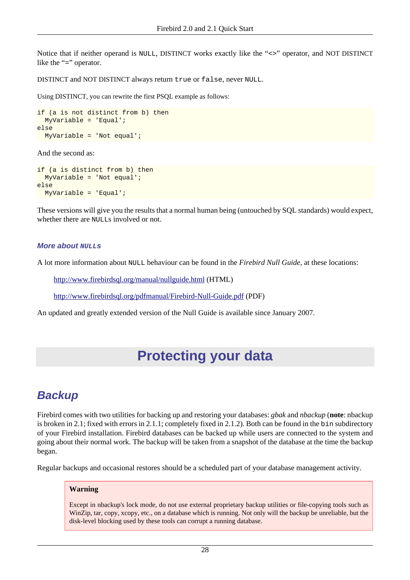Notice that if neither operand is NULL, DISTINCT works exactly like the "<>" operator, and NOT DISTINCT like the "=" operator.

DISTINCT and NOT DISTINCT always return true or false, never NULL.

Using DISTINCT, you can rewrite the first PSQL example as follows:

```
if (a is not distinct from b) then
   MyVariable = 'Equal';
else
  MyVariable = 'Not equal';
```
And the second as:

```
if (a is distinct from b) then
  MyVariable = 'Not equal';
else
  MyVariable = 'Equal';
```
These versions will give you the results that a normal human being (untouched by SQL standards) would expect, whether there are NULLs involved or not.

#### **More about NULLs**

A lot more information about NULL behaviour can be found in the *Firebird Null Guide*, at these locations:

<http://www.firebirdsql.org/manual/nullguide.html> (HTML)

<http://www.firebirdsql.org/pdfmanual/Firebird-Null-Guide.pdf>(PDF)

<span id="page-27-0"></span>An updated and greatly extended version of the Null Guide is available since January 2007.

# **Protecting your data**

## <span id="page-27-2"></span><span id="page-27-1"></span>**Backup**

Firebird comes with two utilities for backing up and restoring your databases: *gbak* and *nbackup* (**note**: nbackup is broken in 2.1; fixed with errors in 2.1.1; completely fixed in 2.1.2). Both can be found in the bin subdirectory of your Firebird installation. Firebird databases can be backed up while users are connected to the system and going about their normal work. The backup will be taken from a snapshot of the database at the time the backup began.

Regular backups and occasional restores should be a scheduled part of your database management activity.

#### **Warning**

Except in nbackup's lock mode, do not use external proprietary backup utilities or file-copying tools such as WinZip, tar, copy, xcopy, etc., on a database which is running. Not only will the backup be unreliable, but the disk-level blocking used by these tools can corrupt a running database.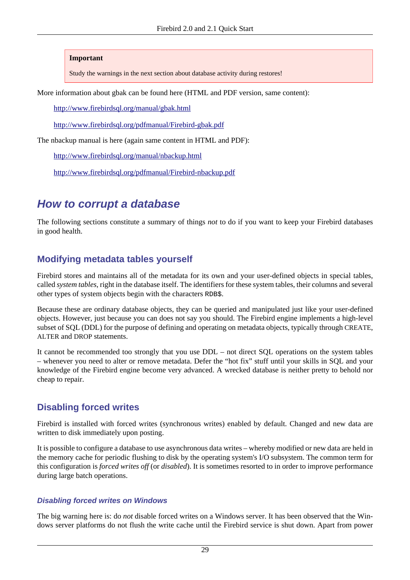#### **Important**

Study the warnings in the next section about database activity during restores!

More information about gbak can be found here (HTML and PDF version, same content):

<http://www.firebirdsql.org/manual/gbak.html>

<http://www.firebirdsql.org/pdfmanual/Firebird-gbak.pdf>

The nbackup manual is here (again same content in HTML and PDF):

<http://www.firebirdsql.org/manual/nbackup.html>

<span id="page-28-0"></span><http://www.firebirdsql.org/pdfmanual/Firebird-nbackup.pdf>

## <span id="page-28-1"></span>**How to corrupt a database**

The following sections constitute a summary of things *not* to do if you want to keep your Firebird databases in good health.

### <span id="page-28-2"></span>**Modifying metadata tables yourself**

Firebird stores and maintains all of the metadata for its own and your user-defined objects in special tables, called *system tables*, right in the database itself. The identifiers for these system tables, their columns and several other types of system objects begin with the characters RDB\$.

Because these are ordinary database objects, they can be queried and manipulated just like your user-defined objects. However, just because you can does not say you should. The Firebird engine implements a high-level subset of SQL (DDL) for the purpose of defining and operating on metadata objects, typically through CREATE, ALTER and DROP statements.

It cannot be recommended too strongly that you use DDL – not direct SQL operations on the system tables – whenever you need to alter or remove metadata. Defer the "hot fix" stuff until your skills in SQL and your knowledge of the Firebird engine become very advanced. A wrecked database is neither pretty to behold nor cheap to repair.

### <span id="page-28-3"></span>**Disabling forced writes**

Firebird is installed with forced writes (synchronous writes) enabled by default. Changed and new data are written to disk immediately upon posting.

It is possible to configure a database to use asynchronous data writes – whereby modified or new data are held in the memory cache for periodic flushing to disk by the operating system's I/O subsystem. The common term for this configuration is *forced writes off* (or *disabled*). It is sometimes resorted to in order to improve performance during large batch operations.

#### **Disabling forced writes on Windows**

The big warning here is: do *not* disable forced writes on a Windows server. It has been observed that the Windows server platforms do not flush the write cache until the Firebird service is shut down. Apart from power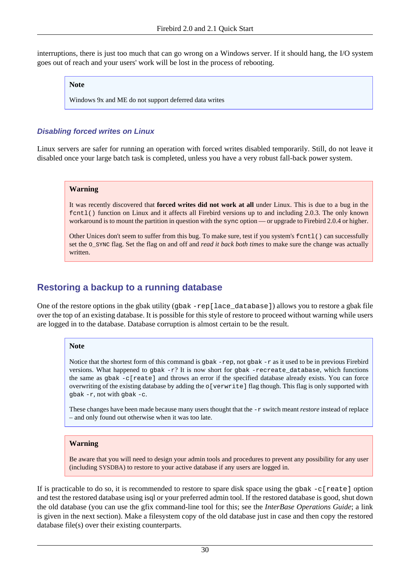interruptions, there is just too much that can go wrong on a Windows server. If it should hang, the I/O system goes out of reach and your users' work will be lost in the process of rebooting.

#### **Note**

Windows 9x and ME do not support deferred data writes

#### <span id="page-29-0"></span>**Disabling forced writes on Linux**

<span id="page-29-2"></span>Linux servers are safer for running an operation with forced writes disabled temporarily. Still, do not leave it disabled once your large batch task is completed, unless you have a very robust fall-back power system.

#### **Warning**

It was recently discovered that **forced writes did not work at all** under Linux. This is due to a bug in the fcntl() function on Linux and it affects all Firebird versions up to and including 2.0.3. The only known workaround is to mount the partition in question with the sync option — or upgrade to Firebird 2.0.4 or higher.

Other Unices don't seem to suffer from this bug. To make sure, test if you system's fcntl() can successfully set the O\_SYNC flag. Set the flag on and off and *read it back both times* to make sure the change was actually written.

## <span id="page-29-1"></span>**Restoring a backup to a running database**

One of the restore options in the gbak utility (gbak -rep[lace\_database]) allows you to restore a gbak file over the top of an existing database. It is possible for this style of restore to proceed without warning while users are logged in to the database. Database corruption is almost certain to be the result.

#### **Note**

Notice that the shortest form of this command is gbak  $-rep$ , not gbak  $-r$  as it used to be in previous Firebird versions. What happened to gbak  $-r$ ? It is now short for gbak -recreate\_database, which functions the same as gbak -c[reate] and throws an error if the specified database already exists. You can force overwriting of the existing database by adding the o[verwrite] flag though. This flag is only supported with  $q$ bak  $-r$ , not with  $q$ bak  $-c$ .

These changes have been made because many users thought that the -r switch meant *restore* instead of replace – and only found out otherwise when it was too late.

#### **Warning**

Be aware that you will need to design your admin tools and procedures to prevent any possibility for any user (including SYSDBA) to restore to your active database if any users are logged in.

If is practicable to do so, it is recommended to restore to spare disk space using the gbak  $-c$ [reate] option and test the restored database using isql or your preferred admin tool. If the restored database is good, shut down the old database (you can use the gfix command-line tool for this; see the *InterBase Operations Guide*; a link is given in the next section). Make a filesystem copy of the old database just in case and then copy the restored database file(s) over their existing counterparts.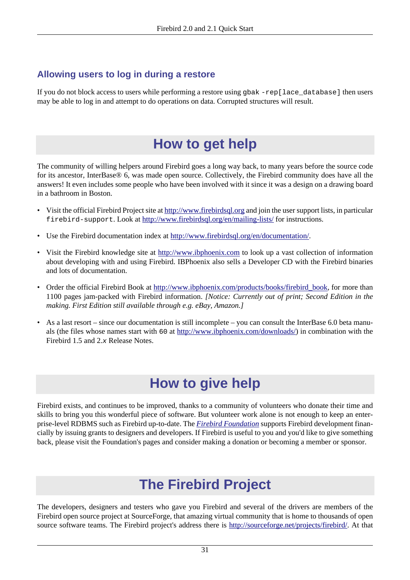## <span id="page-30-4"></span>**Allowing users to log in during a restore**

<span id="page-30-0"></span>If you do not block access to users while performing a restore using gbak -rep[lace\_database] then users may be able to log in and attempt to do operations on data. Corrupted structures will result.

# <span id="page-30-5"></span>**How to get help**

The community of willing helpers around Firebird goes a long way back, to many years before the source code for its ancestor, InterBase® 6, was made open source. Collectively, the Firebird community does have all the answers! It even includes some people who have been involved with it since it was a design on a drawing board in a bathroom in Boston.

- Visit the official Firebird Project site at<http://www.firebirdsql.org>and join the user support lists, in particular firebird-support. Look at <http://www.firebirdsql.org/en/mailing-lists/> for instructions.
- Use the Firebird documentation index at [http://www.firebirdsql.org/en/documentation/.](http://www.firebirdsql.org/en/documentation/)
- Visit the Firebird knowledge site at <http://www.ibphoenix.com>to look up a vast collection of information about developing with and using Firebird. IBPhoenix also sells a Developer CD with the Firebird binaries and lots of documentation.
- <span id="page-30-3"></span>• Order the official Firebird Book at [http://www.ibphoenix.com/products/books/firebird\\_book](http://www.ibphoenix.com/products/books/firebird_book), for more than 1100 pages jam-packed with Firebird information. *[Notice: Currently out of print; Second Edition in the making. First Edition still available through e.g. eBay, Amazon.]*
- <span id="page-30-1"></span>• As a last resort – since our documentation is still incomplete – you can consult the InterBase 6.0 beta manuals (the files whose names start with 60 at <http://www.ibphoenix.com/downloads/>) in combination with the Firebird 1.5 and 2.x Release Notes.

# <span id="page-30-6"></span>**How to give help**

<span id="page-30-2"></span>Firebird exists, and continues to be improved, thanks to a community of volunteers who donate their time and skills to bring you this wonderful piece of software. But volunteer work alone is not enough to keep an enterprise-level RDBMS such as Firebird up-to-date. The *[Firebird Foundation](http://www.firebirdsql.org/en/firebird-foundation/)* supports Firebird development financially by issuing grants to designers and developers. If Firebird is useful to you and you'd like to give something back, please visit the Foundation's pages and consider making a donation or becoming a member or sponsor.

# <span id="page-30-7"></span>**The Firebird Project**

The developers, designers and testers who gave you Firebird and several of the drivers are members of the Firebird open source project at SourceForge, that amazing virtual community that is home to thousands of open source software teams. The Firebird project's address there is [http://sourceforge.net/projects/firebird/.](http://sourceforge.net/projects/firebird/) At that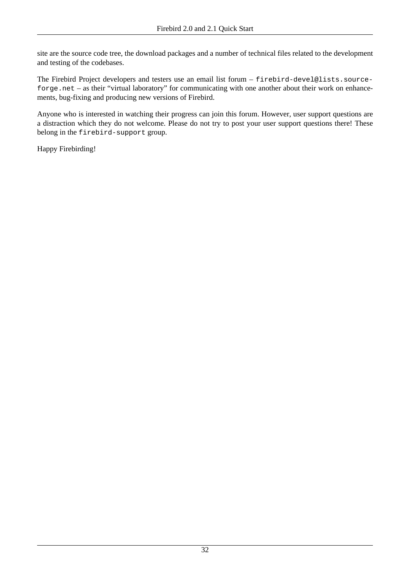site are the source code tree, the download packages and a number of technical files related to the development and testing of the codebases.

The Firebird Project developers and testers use an email list forum – firebird-devel@lists.sourceforge.net – as their "virtual laboratory" for communicating with one another about their work on enhancements, bug-fixing and producing new versions of Firebird.

Anyone who is interested in watching their progress can join this forum. However, user support questions are a distraction which they do not welcome. Please do not try to post your user support questions there! These belong in the firebird-support group.

Happy Firebirding!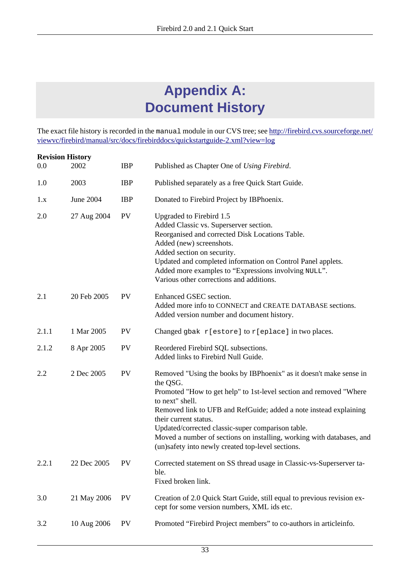# <span id="page-32-1"></span>**Appendix A: Document History**

<span id="page-32-0"></span>The exact file history is recorded in the manual module in our CVS tree; see [http://firebird.cvs.sourceforge.net/](http://firebird.cvs.sourceforge.net/viewvc/firebird/manual/src/docs/firebirddocs/quickstartguide-2.xml?view=log) [viewvc/firebird/manual/src/docs/firebirddocs/quickstartguide-2.xml?view=log](http://firebird.cvs.sourceforge.net/viewvc/firebird/manual/src/docs/firebirddocs/quickstartguide-2.xml?view=log)

| <b>Revision History</b> |                  |            |                                                                                                                                                                                                                                                                                                                                                                                                                                                          |
|-------------------------|------------------|------------|----------------------------------------------------------------------------------------------------------------------------------------------------------------------------------------------------------------------------------------------------------------------------------------------------------------------------------------------------------------------------------------------------------------------------------------------------------|
| 0.0                     | 2002             | <b>IBP</b> | Published as Chapter One of Using Firebird.                                                                                                                                                                                                                                                                                                                                                                                                              |
| 1.0                     | 2003             | <b>IBP</b> | Published separately as a free Quick Start Guide.                                                                                                                                                                                                                                                                                                                                                                                                        |
| 1.x                     | <b>June 2004</b> | <b>IBP</b> | Donated to Firebird Project by IBPhoenix.                                                                                                                                                                                                                                                                                                                                                                                                                |
| 2.0                     | 27 Aug 2004      | <b>PV</b>  | Upgraded to Firebird 1.5<br>Added Classic vs. Superserver section.<br>Reorganised and corrected Disk Locations Table.<br>Added (new) screenshots.<br>Added section on security.<br>Updated and completed information on Control Panel applets.<br>Added more examples to "Expressions involving NULL".<br>Various other corrections and additions.                                                                                                       |
| 2.1                     | 20 Feb 2005      | <b>PV</b>  | Enhanced GSEC section.<br>Added more info to CONNECT and CREATE DATABASE sections.<br>Added version number and document history.                                                                                                                                                                                                                                                                                                                         |
| 2.1.1                   | 1 Mar 2005       | <b>PV</b>  | Changed gbak r[estore] to r[eplace] in two places.                                                                                                                                                                                                                                                                                                                                                                                                       |
| 2.1.2                   | 8 Apr 2005       | <b>PV</b>  | Reordered Firebird SQL subsections.<br>Added links to Firebird Null Guide.                                                                                                                                                                                                                                                                                                                                                                               |
| 2.2                     | 2 Dec 2005       | <b>PV</b>  | Removed "Using the books by IBPhoenix" as it doesn't make sense in<br>the QSG.<br>Promoted "How to get help" to 1st-level section and removed "Where<br>to next" shell.<br>Removed link to UFB and RefGuide; added a note instead explaining<br>their current status.<br>Updated/corrected classic-super comparison table.<br>Moved a number of sections on installing, working with databases, and<br>(un)safety into newly created top-level sections. |
| 2.2.1                   | 22 Dec 2005      | <b>PV</b>  | Corrected statement on SS thread usage in Classic-vs-Superserver ta-<br>ble.<br>Fixed broken link.                                                                                                                                                                                                                                                                                                                                                       |
| 3.0                     | 21 May 2006      | <b>PV</b>  | Creation of 2.0 Quick Start Guide, still equal to previous revision ex-<br>cept for some version numbers, XML ids etc.                                                                                                                                                                                                                                                                                                                                   |
| 3.2                     | 10 Aug 2006      | <b>PV</b>  | Promoted "Firebird Project members" to co-authors in articleinfo.                                                                                                                                                                                                                                                                                                                                                                                        |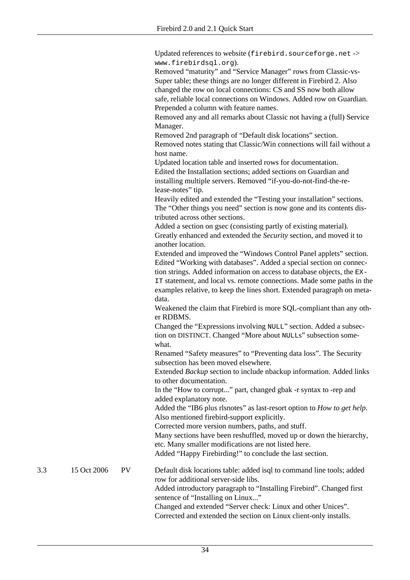Updated references to website (firebird.sourceforge.net -> www.firebirdsql.org).

Removed "maturity" and "Service Manager" rows from Classic-vs-Super table; these things are no longer different in Firebird 2. Also changed the row on local connections: CS and SS now both allow safe, reliable local connections on Windows. Added row on Guardian. Prepended a column with feature names.

Removed any and all remarks about Classic not having a (full) Service Manager.

Removed 2nd paragraph of "Default disk locations" section. Removed notes stating that Classic/Win connections will fail without a host name.

Updated location table and inserted rows for documentation. Edited the Installation sections; added sections on Guardian and installing multiple servers. Removed "if-you-do-not-find-the-release-notes" tip.

Heavily edited and extended the "Testing your installation" sections. The "Other things you need" section is now gone and its contents distributed across other sections.

Added a section on gsec (consisting partly of existing material). Greatly enhanced and extended the *Security* section, and moved it to another location.

Extended and improved the "Windows Control Panel applets" section. Edited "Working with databases". Added a special section on connection strings. Added information on access to database objects, the EX-

IT statement, and local vs. remote connections. Made some paths in the examples relative, to keep the lines short. Extended paragraph on metadata.

Weakened the claim that Firebird is more SQL-compliant than any other RDBMS.

Changed the "Expressions involving NULL" section. Added a subsection on DISTINCT. Changed "More about NULLs" subsection somewhat.

Renamed "Safety measures" to "Preventing data loss". The Security subsection has been moved elsewhere.

Extended *Backup* section to include nbackup information. Added links to other documentation.

In the "How to corrupt..." part, changed gbak -r syntax to -rep and added explanatory note.

Added the "IB6 plus rlsnotes" as last-resort option to *How to get help*. Also mentioned firebird-support explicitly.

Corrected more version numbers, paths, and stuff.

Many sections have been reshuffled, moved up or down the hierarchy, etc. Many smaller modifications are not listed here.

Added "Happy Firebirding!" to conclude the last section.

3.3 15 Oct 2006 PV Default disk locations table: added isql to command line tools; added row for additional server-side libs. Added introductory paragraph to "Installing Firebird". Changed first

> sentence of "Installing on Linux..." Changed and extended "Server check: Linux and other Unices". Corrected and extended the section on Linux client-only installs.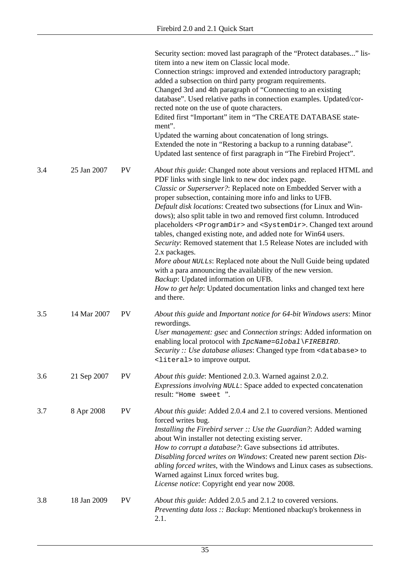|     |             |           | Security section: moved last paragraph of the "Protect databases" lis-<br>titem into a new item on Classic local mode.<br>Connection strings: improved and extended introductory paragraph;<br>added a subsection on third party program requirements.<br>Changed 3rd and 4th paragraph of "Connecting to an existing<br>database". Used relative paths in connection examples. Updated/cor-<br>rected note on the use of quote characters.<br>Edited first "Important" item in "The CREATE DATABASE state-<br>ment".<br>Updated the warning about concatenation of long strings.<br>Extended the note in "Restoring a backup to a running database".<br>Updated last sentence of first paragraph in "The Firebird Project".                                                                                                                                                                                                          |
|-----|-------------|-----------|---------------------------------------------------------------------------------------------------------------------------------------------------------------------------------------------------------------------------------------------------------------------------------------------------------------------------------------------------------------------------------------------------------------------------------------------------------------------------------------------------------------------------------------------------------------------------------------------------------------------------------------------------------------------------------------------------------------------------------------------------------------------------------------------------------------------------------------------------------------------------------------------------------------------------------------|
| 3.4 | 25 Jan 2007 | <b>PV</b> | About this guide: Changed note about versions and replaced HTML and<br>PDF links with single link to new doc index page.<br>Classic or Superserver?: Replaced note on Embedded Server with a<br>proper subsection, containing more info and links to UFB.<br>Default disk locations: Created two subsections (for Linux and Win-<br>dows); also split table in two and removed first column. Introduced<br>placeholders <programdir> and <systemdir>. Changed text around<br/>tables, changed existing note, and added note for Win64 users.<br/>Security: Removed statement that 1.5 Release Notes are included with<br/>2.x packages.<br/>More about NULLs: Replaced note about the Null Guide being updated<br/>with a para announcing the availability of the new version.<br/>Backup: Updated information on UFB.<br/>How to get help: Updated documentation links and changed text here<br/>and there.</systemdir></programdir> |
| 3.5 | 14 Mar 2007 | <b>PV</b> | About this guide and Important notice for 64-bit Windows users: Minor<br>rewordings.<br>User management: gsec and Connection strings: Added information on<br>enabling local protocol with IpcName=Global\FIREBIRD.<br>Security :: Use database aliases: Changed type from <database> to<br/><literal> to improve output.</literal></database>                                                                                                                                                                                                                                                                                                                                                                                                                                                                                                                                                                                        |
| 3.6 | 21 Sep 2007 | <b>PV</b> | About this guide: Mentioned 2.0.3. Warned against 2.0.2.<br>Expressions involving NULL: Space added to expected concatenation<br>result: "Home sweet ".                                                                                                                                                                                                                                                                                                                                                                                                                                                                                                                                                                                                                                                                                                                                                                               |
| 3.7 | 8 Apr 2008  | PV        | About this guide: Added 2.0.4 and 2.1 to covered versions. Mentioned<br>forced writes bug.<br>Installing the Firebird server :: Use the Guardian?: Added warning<br>about Win installer not detecting existing server.<br>How to corrupt a database?: Gave subsections id attributes.<br>Disabling forced writes on Windows: Created new parent section Dis-<br>abling forced writes, with the Windows and Linux cases as subsections.<br>Warned against Linux forced writes bug.<br>License notice: Copyright end year now 2008.                                                                                                                                                                                                                                                                                                                                                                                                     |
| 3.8 | 18 Jan 2009 | <b>PV</b> | About this guide: Added 2.0.5 and 2.1.2 to covered versions.<br>Preventing data loss: Backup: Mentioned nbackup's brokenness in<br>2.1.                                                                                                                                                                                                                                                                                                                                                                                                                                                                                                                                                                                                                                                                                                                                                                                               |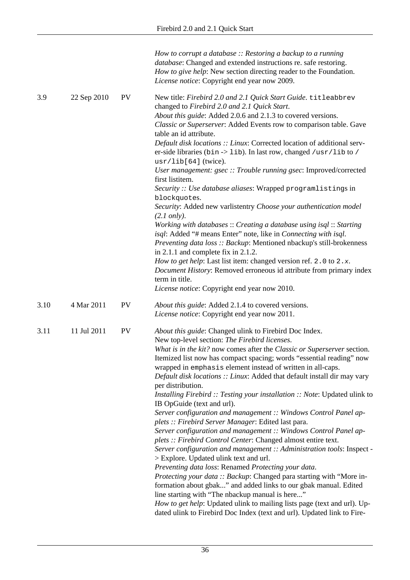|      |             |           | How to corrupt a database $::$ Restoring a backup to a running<br>database: Changed and extended instructions re. safe restoring.<br>How to give help: New section directing reader to the Foundation.<br>License notice: Copyright end year now 2009.                                                                                                                                                                                                                                                                                                                                                                                                                                                                                                                                                                                                                                                                                                                                                                                                                                                                                                                                                                                                                                                                                  |
|------|-------------|-----------|-----------------------------------------------------------------------------------------------------------------------------------------------------------------------------------------------------------------------------------------------------------------------------------------------------------------------------------------------------------------------------------------------------------------------------------------------------------------------------------------------------------------------------------------------------------------------------------------------------------------------------------------------------------------------------------------------------------------------------------------------------------------------------------------------------------------------------------------------------------------------------------------------------------------------------------------------------------------------------------------------------------------------------------------------------------------------------------------------------------------------------------------------------------------------------------------------------------------------------------------------------------------------------------------------------------------------------------------|
| 3.9  | 22 Sep 2010 | <b>PV</b> | New title: Firebird 2.0 and 2.1 Quick Start Guide. titleabbrev<br>changed to Firebird 2.0 and 2.1 Quick Start.<br>About this guide: Added 2.0.6 and 2.1.3 to covered versions.<br>Classic or Superserver: Added Events row to comparison table. Gave<br>table an id attribute.<br>Default disk locations :: Linux: Corrected location of additional serv-<br>er-side libraries (bin -> lib). In last row, changed /usr/lib to /<br>$usr/lib[64]$ (twice).<br>User management: gsec :: Trouble running gsec: Improved/corrected<br>first listitem.<br>Security: Use database aliases: Wrapped programlistings in<br>blockquotes.<br>Security: Added new varlistentry Choose your authentication model<br>$(2.1 \text{ only}).$<br>Working with databases :: Creating a database using isql :: Starting<br>isql: Added "# means Enter" note, like in Connecting with isql.<br>Preventing data loss :: Backup: Mentioned nbackup's still-brokenness<br>in $2.1.1$ and complete fix in $2.1.2$ .<br>How to get help: Last list item: changed version ref. 2.0 to 2.x.                                                                                                                                                                                                                                                                       |
|      |             |           | Document History: Removed erroneous id attribute from primary index<br>term in title.                                                                                                                                                                                                                                                                                                                                                                                                                                                                                                                                                                                                                                                                                                                                                                                                                                                                                                                                                                                                                                                                                                                                                                                                                                                   |
|      |             |           | License notice: Copyright end year now 2010.                                                                                                                                                                                                                                                                                                                                                                                                                                                                                                                                                                                                                                                                                                                                                                                                                                                                                                                                                                                                                                                                                                                                                                                                                                                                                            |
| 3.10 | 4 Mar 2011  | <b>PV</b> | About this guide: Added 2.1.4 to covered versions.<br>License notice: Copyright end year now 2011.                                                                                                                                                                                                                                                                                                                                                                                                                                                                                                                                                                                                                                                                                                                                                                                                                                                                                                                                                                                                                                                                                                                                                                                                                                      |
| 3.11 | 11 Jul 2011 | PV        | About this guide: Changed ulink to Firebird Doc Index.<br>New top-level section: The Firebird licenses.<br>What is in the kit? now comes after the Classic or Superserver section.<br>Itemized list now has compact spacing; words "essential reading" now<br>wrapped in emphasis element instead of written in all-caps.<br>Default disk locations :: Linux: Added that default install dir may vary<br>per distribution.<br>Installing Firebird :: Testing your installation :: Note: Updated ulink to<br>IB OpGuide (text and url).<br>Server configuration and management :: Windows Control Panel ap-<br>plets :: Firebird Server Manager: Edited last para.<br>Server configuration and management :: Windows Control Panel ap-<br>plets :: Firebird Control Center: Changed almost entire text.<br>Server configuration and management :: Administration tools: Inspect -<br>> Explore. Updated ulink text and url.<br>Preventing data loss: Renamed Protecting your data.<br>Protecting your data :: Backup: Changed para starting with "More in-<br>formation about gbak" and added links to our gbak manual. Edited<br>line starting with "The nbackup manual is here"<br>How to get help: Updated ulink to mailing lists page (text and url). Up-<br>dated ulink to Firebird Doc Index (text and url). Updated link to Fire- |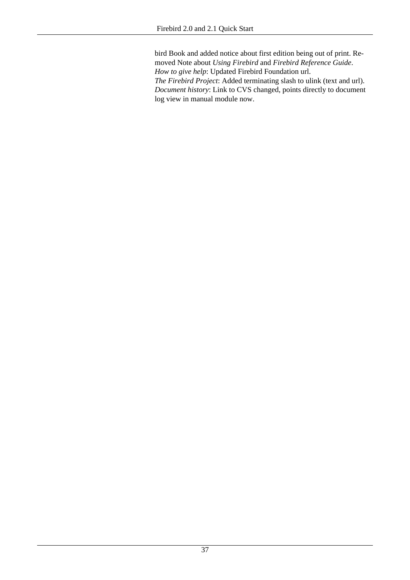bird Book and added notice about first edition being out of print. Removed Note about *Using Firebird* and *Firebird Reference Guide*. *How to give help*: Updated Firebird Foundation url. *The Firebird Project*: Added terminating slash to ulink (text and url). *Document history*: Link to CVS changed, points directly to document log view in manual module now.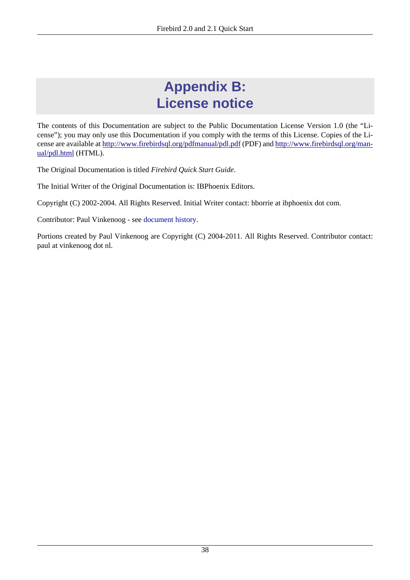# <span id="page-37-1"></span>**Appendix B: License notice**

<span id="page-37-0"></span>The contents of this Documentation are subject to the Public Documentation License Version 1.0 (the "License"); you may only use this Documentation if you comply with the terms of this License. Copies of the License are available at<http://www.firebirdsql.org/pdfmanual/pdl.pdf> (PDF) and [http://www.firebirdsql.org/man](http://www.firebirdsql.org/manual/pdl.html)[ual/pdl.html](http://www.firebirdsql.org/manual/pdl.html) (HTML).

The Original Documentation is titled *Firebird Quick Start Guide*.

The Initial Writer of the Original Documentation is: IBPhoenix Editors.

Copyright (C) 2002-2004. All Rights Reserved. Initial Writer contact: hborrie at ibphoenix dot com.

Contributor: Paul Vinkenoog - see [document history.](#page-32-0)

Portions created by Paul Vinkenoog are Copyright (C) 2004-2011. All Rights Reserved. Contributor contact: paul at vinkenoog dot nl.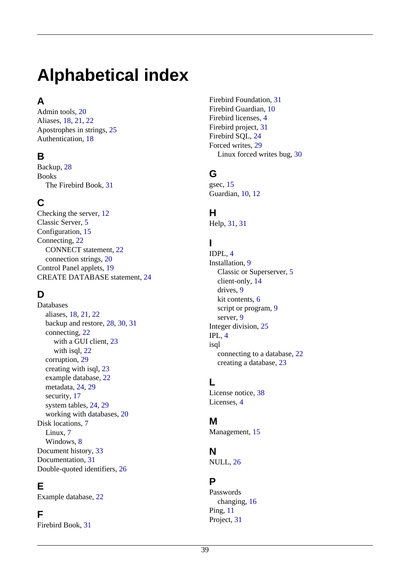# <span id="page-38-0"></span>**Alphabetical index**

## **A**

Admin tools, [20](#page-19-3) Aliases, [18,](#page-17-0) [21](#page-20-0), [22](#page-21-1) Apostrophes in strings, [25](#page-24-0) Authentication, [18](#page-17-1)

## **B**

Backup, [28](#page-27-2) Books The Firebird Book, [31](#page-30-3)

## **C**

Checking the server, [12](#page-11-0) Classic Server, [5](#page-4-1) Configuration, [15](#page-14-2) Connecting, [22](#page-21-2) CONNECT statement, [22](#page-21-3) connection strings, [20](#page-19-4) Control Panel applets, [19](#page-18-1) CREATE DATABASE statement, [24](#page-23-1)

## **D**

Databases aliases, [18,](#page-17-0) [21](#page-20-0), [22](#page-21-1) backup and restore, [28,](#page-27-2) [30](#page-29-1), [31](#page-30-4) connecting, [22](#page-21-2) with a GUI client, [23](#page-22-1) with isql, [22](#page-21-4) corruption, [29](#page-28-1) creating with isql, [23](#page-22-2) example database, [22](#page-21-5) metadata, [24](#page-23-2), [29](#page-28-2) security, [17](#page-16-1) system tables, [24](#page-23-2), [29](#page-28-2) working with databases, [20](#page-19-5) Disk locations, [7](#page-6-2) Linux, [7](#page-6-3) Windows, [8](#page-7-1) Document history, [33](#page-32-1) Documentation, [31](#page-30-5) Double-quoted identifiers, [26](#page-25-1)

## **E**

Example database, [22](#page-21-5)

## **F**

Firebird Book, [31](#page-30-3)

Firebird Foundation, [31](#page-30-6) Firebird Guardian, [10](#page-9-0) Firebird licenses, [4](#page-3-1) Firebird project, [31](#page-30-7) Firebird SQL, [24](#page-23-3) Forced writes, [29](#page-28-3) Linux forced writes bug, [30](#page-29-2)

## **G**

gsec, [15](#page-14-3) Guardian, [10](#page-9-0), [12](#page-11-1)

## **H**

Help, [31,](#page-30-5) [31](#page-30-6)

## **I**

IDPL, [4](#page-3-1) Installation, [9](#page-8-2) Classic or Superserver, [5](#page-4-1) client-only, [14](#page-13-1) drives, [9](#page-8-3) kit contents, [6](#page-5-2) script or program, [9](#page-8-4) server, [9](#page-8-5) Integer division, [25](#page-24-1) IPL, [4](#page-3-1) isql connecting to a database, [22](#page-21-4) creating a database, [23](#page-22-2)

## **L**

License notice, [38](#page-37-1) Licenses, [4](#page-3-1)

## **M**

Management, [15](#page-14-2)

## **N**

NULL, [26](#page-25-2)

## **P**

Passwords changing, [16](#page-15-0) Ping, [11](#page-10-2) Project, [31](#page-30-7)